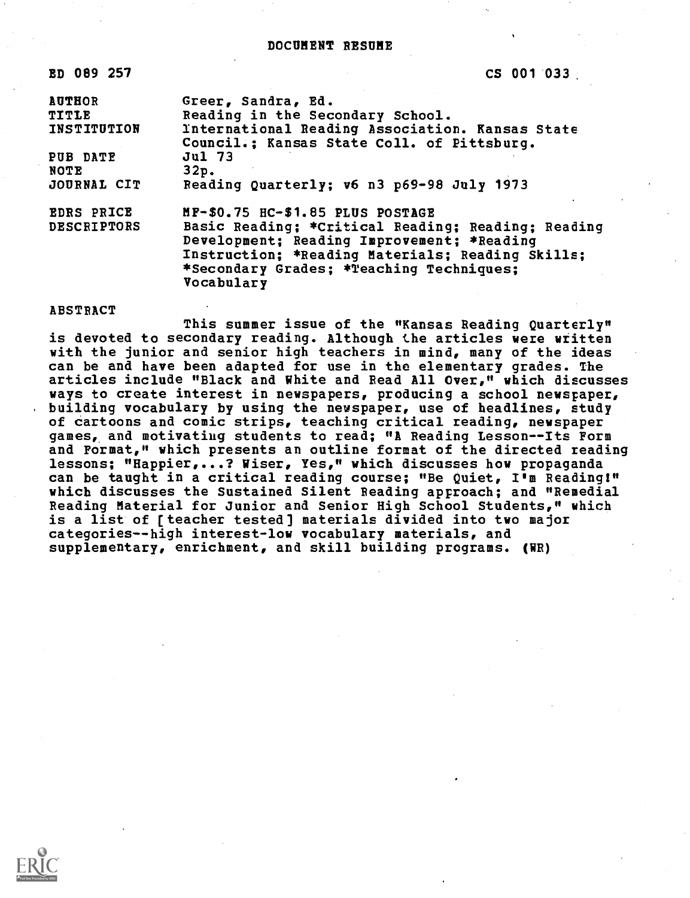### DOCUMENT RESUME

| ED 089 257         | $CS$ 001 033                                                                                               |  |
|--------------------|------------------------------------------------------------------------------------------------------------|--|
| <b>AUTHOR</b>      | Greer, Sandra, Ed.                                                                                         |  |
| <b>TITLE</b>       | Reading in the Secondary School.                                                                           |  |
| INSTITUTION        | International Reading Association. Kansas State<br>Council.; Kansas State Coll. of Pittsburg.              |  |
| PUB DATE           | <b>Jul 73</b>                                                                                              |  |
| NOTE               | 32p.                                                                                                       |  |
| JOURNAL CIT        | Reading Quarterly; v6 n3 p69-98 July 1973                                                                  |  |
| <b>EDRS PRICE</b>  | MF-\$0.75 HC-\$1.85 PLUS POSTAGE                                                                           |  |
| <b>DESCRIPTORS</b> | Basic Reading; *Critical Reading; Reading; Reading                                                         |  |
|                    | Development; Reading Improvement; *Reading                                                                 |  |
|                    | Instruction; *Reading Materials; Reading Skills;<br>*Secondary Grades; *Teaching Techniques;<br>Vocabulary |  |
|                    |                                                                                                            |  |

### ABSTRACT

This summer issue of the "Kansas Reading Quarterly" is devoted to secondary reading. Although the articles were written with the junior and senior high teachers in mind, many of the ideas can be and have been adapted for use in the elementary grades. The articles include "Black and White and Read All Over," which discusses ways to create interest in newspapers, producing a school newspaper, building vocabulary by using the newspaper, use of headlines, study of cartoons and comic strips, teaching critical reading, newspaper games, and motivating students to read; "A Reading Lesson--Its Form and Format," which presents an outline format of the directed reading lessons; "Happier,...? Wiser, Yes," which discusses how propaganda can be taught in a critical reading course; "Be Quiet, I'm Reading!" which discusses the Sustained Silent Reading approach; and "Remedial Reading Material for Junior and Senior High School Students," which is a list of [teacher tested] materials divided into two major categories--high interest-low vocabulary materials, and supplementary, enrichment, and skill building programs. (WR)

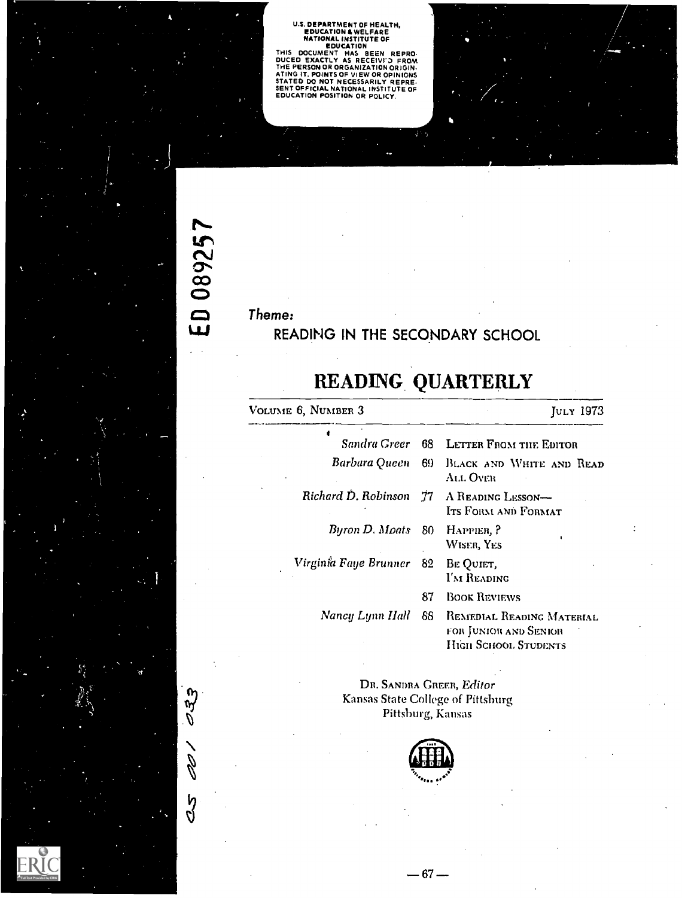U.S. DEPARTMENT OF HEALTH,<br>
EDUCATION & WELFARE<br>
NATIONAL INSTITUTE OF<br>
THIS DOCUMENT HAS BEEN REPRO.<br>
DUCED EXACTLY AS RECEIVED FROM.<br>
THE PERSON OR ORGANIZATION ORIGIN.<br>
ATING IT, POINTS OF VIEW OR OPINIONS<br>
STATED DO NO

# Theme:

ED 089257

 $\sigma$ 33

100

 $\frac{5}{2}$ 

# READING IN THE SECONDARY SCHOOL

# READING. QUARTERLY

| VOLUME 6, NUMBER 3    |     | JULY 1973                                                                  |  |
|-----------------------|-----|----------------------------------------------------------------------------|--|
|                       |     | Sandra Greer 68 LETTER FROM THE EDITOR                                     |  |
| Barbara Queen-        |     | 69 BLACK AND WHITE AND READ<br>All Over                                    |  |
| Richard D. Robinson   |     | 77 A READING LESSON-<br>Its Form and Format                                |  |
| Byron D. Moats 80     |     | HAPPIER, P<br>WISER, YES                                                   |  |
| Virginia Faye Brunner | 82  | BE QUIET,<br>I'M READING                                                   |  |
|                       | 87  | <b>BOOK REVIEWS</b>                                                        |  |
| Nancy Lynn Hall       | 88. | REMEDIAL READING MATERIAL<br>for Junior and Senior<br>HIGH SCHOOL STUDENTS |  |

DR. SANDRA GREER, Editor Kansas State College of Pittsburg Pittsburg, Kansas

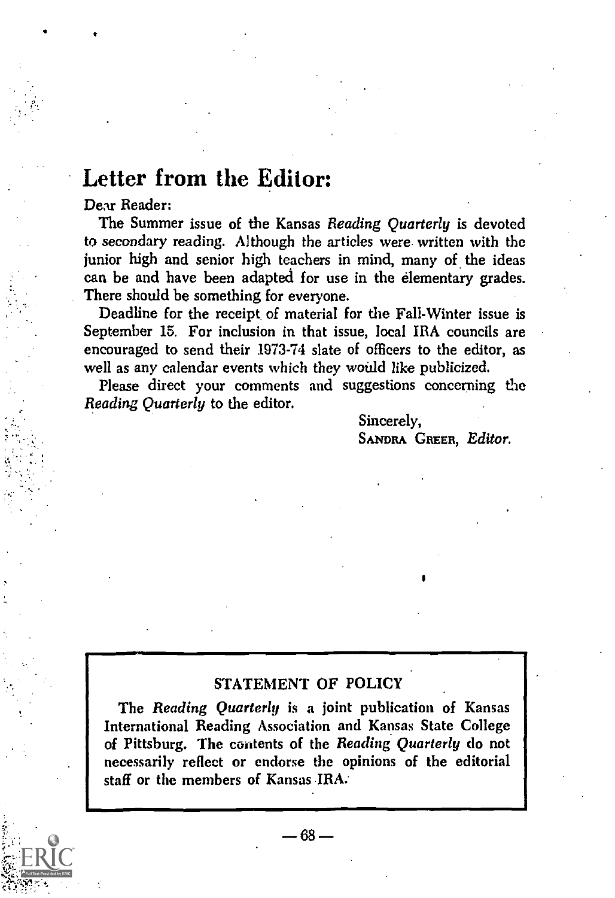# Letter from the Editor:

Dear Reader:

The Summer issue of the Kansas Reading Quarterly is devoted to secondary reading. Although the articles were written with the junior high and senior high teachers in mind, many of the ideas can be and have been adapted for use in the elementary grades. There should be something for everyone.

Deadline for the receipt of material for the Fall-Winter issue is September 15. For inclusion in that issue, local IRA councils are encouraged to send their 1973-74 slate of officers to the editor, as well as any calendar events which they would like publicized.

Please direct your comments and suggestions concerning the Reading Quarterly to the editor.

> Sincerely, SANDRA GREER, Editor.

### STATEMENT OF POLICY

The Reading Quarterly is a joint publication of Kansas International Reading Association and Kansas State College of Pittsburg. The contents of the Reading Quarterly do not necessarily reflect or endorse the opinions of the editorial staff or the members of Kansas IRA.

 $-68-$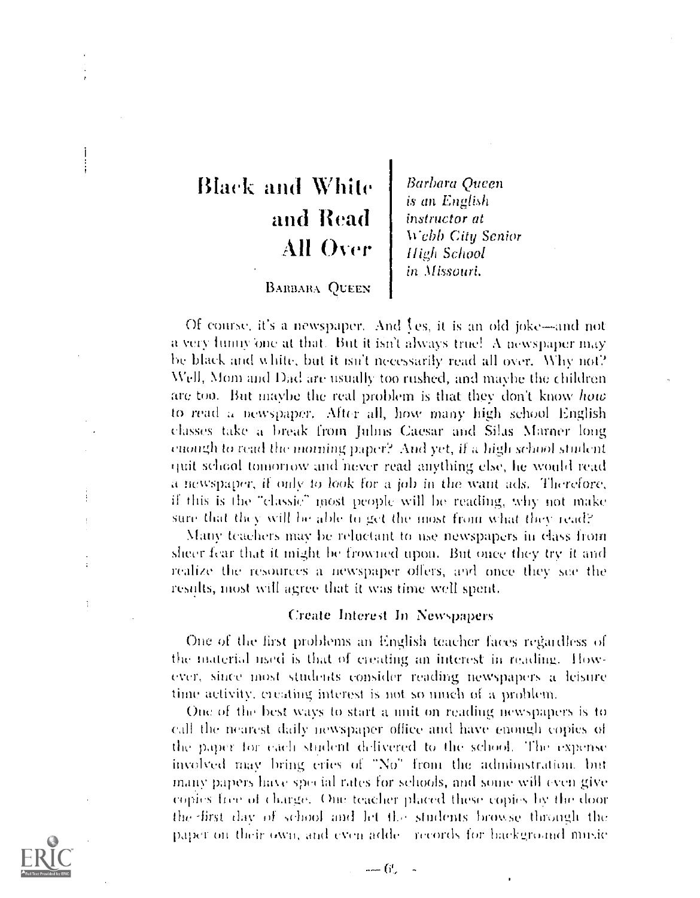# Black and While and Read All Over

Barbara Queen is an English instructor at Webb City Senior High School in Missouri.

### **BABBARA QUEEN**

Of course, it's a newspaper. And  $\ell$ es, it is an old joke—and not a very funny one at that. But it isn't always true! A newspaper may he black and v. hitt, but it isn't necessarily read all over. Why not? \Veil, Nlom and Dad are usually too rushed, and maybe the children are too. But maybe the real problem is that they don't know how to rrad a newspaper. After all, how many high school English classes take a break from Julius Caesar and Silas Marner long enough to read the moming paper? And yet, if a high school student quit school tomorrow and never read anything else, he would read a newspaper, if only to look for a job in the want ads. Therefore, if this is the -classic" most peopfc will be reading, why not make sure that they will be able to get the most from what they read?

Many teachers may be reluctant to use newspapers in class from sheer fear that it might be frowned upon. But once they try it and realite the resources a newspaper offers, and once they see the results, most will agree that it was time well spent.

#### Create Interest In Newspapers

One of the first problems an English teacher faces regardless of the material used is that of creating an interest in reading. However,. since most students consider reading newspapers a leisure time activity, creating interest is not so much of a problem.

Out of the hest ways to start a unit on reading newspapers is to call the nearest daily newspaper office and have enough copies of the paper for each student delivered to the school. The expense involved may bring cries of "No" from the administration, but many papers hake spec nil rates for schools, and some will even give copies free of charge. One teacher placed these copies by the door the first day of school and let the students browse through the paper on their own, and even adde - records for backgroand music



Ä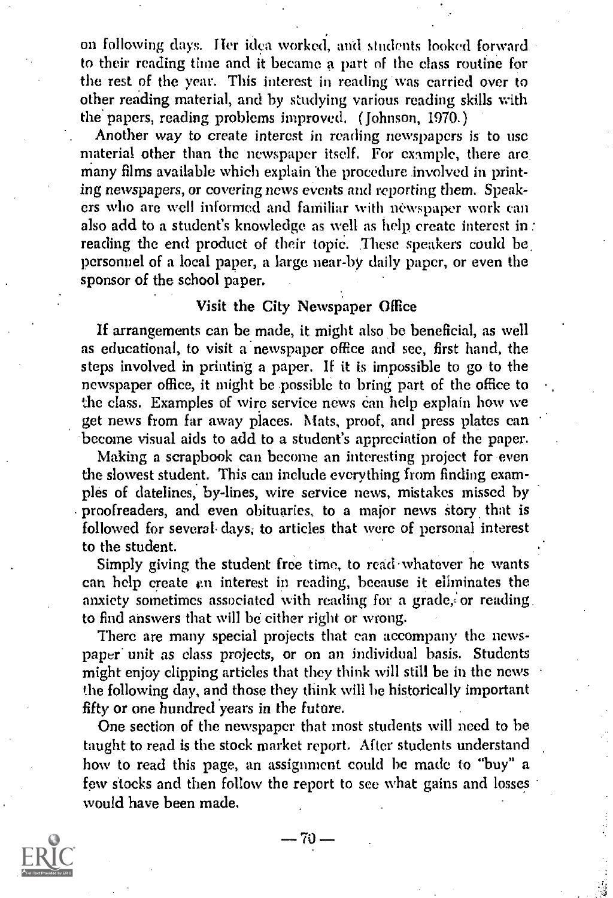on following days. Her idea worked, and students looked forward to their reading time and it became a part of the class routine for the rest of the year. This interest in reading was carried over to other reading material, and by studying various reading skills with the papers, reading problems improved. ( Johnson, 1970.)

Another way to create interest in reading newspapers is to use material other than the newspaper itself. For example, there are many films available which explain the procedure involved in printing newspapers, or covering news events and reporting them. Speakers who are well informed and familiar with newspaper work can also add to a student's knowledge as well as help create interest in: reading the end product of their topic. These speakers could be personnel of a local paper, a large near-by daily paper, or even the sponsor of the school paper.

# Visit the City Newspaper Office

If arrangements can be made, it might also he beneficial, as well as educational, to visit a newspaper office and see, first hand, the steps involved in printing a paper. If it is impossible to go to the newspaper office, it might be possible to bring part of the office to the class. Examples of wire service news can help explain how we get news from far away places. Mats, proof, and press plates can become visual aids to add to a student's appreciation of the paper.

Making a scrapbook can become an interesting project for even the slowest student. This can include everything from finding examples of datelines, by-lines, wire service news, mistakes missed by proofreaders, and even obituaries, to a major news story that is followed for several. days; to articles that were of personal interest to the student.

Simply giving the student free time, to read whatever he wants can help create en interest in reading, because it eliminates the anxiety sometimes associated with reading for a grade; or reading. to find answers that will be either right or wrong.

There are many special projects that can accompany the newspaper' unit as class projects, or on an individual basis. Students might enjoy clipping articles that they think will still be in the news the following day, and those they think will be historically important fifty or one hundred years in the future.

One section of the newspaper that most students will need to be taught to read is the stock market report. After students understand how to read this page, an assignment could be made to "buy" a few stocks and then follow the report to see what gains and losses would have been made.

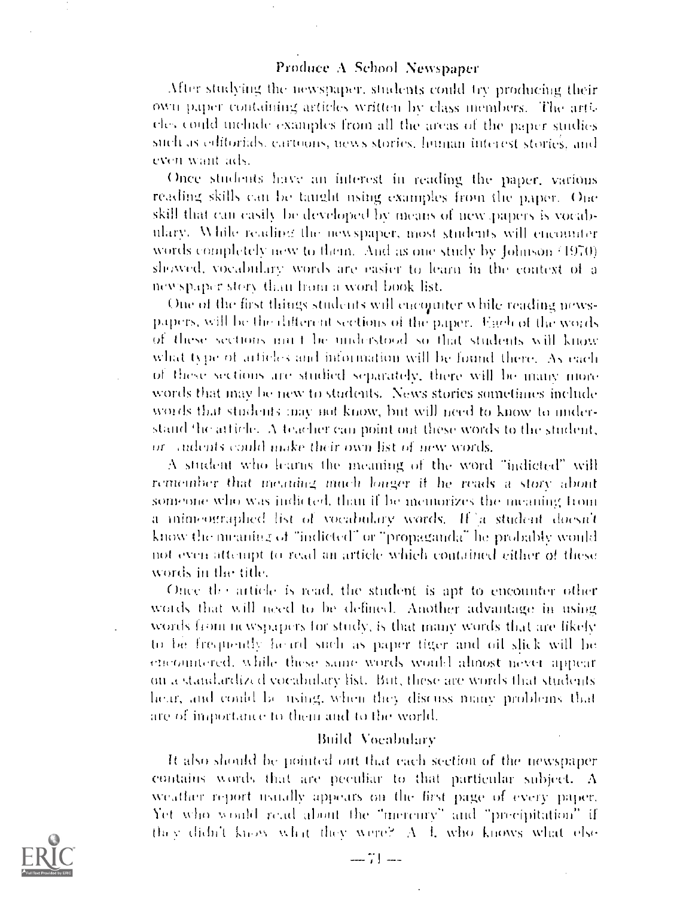### Produce A School Newspaper

After studying the newspaper, students could try producing their own paper containing articles written by class members. The articles could melode examples from all the areas of the paper studies such as editorials, cartoons, news stories, human interest stories, and even want ads.

Once students have an interest in reading the paper, various reading skills can be taught using examples from the paper. One skill that can easily be developed by means of new papers is vocabulary. While reading the newspaper, most students will encounter words completely new to them. And as one study by Johnson (1970) showed, vocabulary words are easier to learn in the context of a newspaper story than from a word book list.

One of the first things students will encounter while reading newspapers, will be the different sections of the paper. Each of the words of these sections multibe understood so that students will know what type of articles and information will be found there. As each of these sections are studied separately, there will be many more words that may be new to students. News stories sometimes include words that students may not know, but will need to know to understand the article. A teacher can point out these words to the student, or andents could make their own list of new words.

A student who learns the meaning of the word "indicted" will remember that meaning much longer if he reads a story about someone who was indicted, than if he memorizes the meaning from a inforeographed list of vocabulary words. If a student doesn't know the nicarities of "indicted" or "propaganda" he probably would not even attempt to read an article which contained either of these words in the title.

Once the article is read, the student is apt to encounter other words that will need to be defined. Another advantage in using words from newspapers for study, is that many words that are likely to be frequently heard such as paper tiger and oil slick will be encountered, while these same words would almost never appear on a standardized vocabulary list. But, these are words that students hear, and could be using, when they discuss many problems that are of importance to them and to the world.

#### Build Vocabulary

It also should be pointed out that each section of the newspaper contains words that are peculiar to that particular subject. A weather report usually appears on the first page of every paper. Yet who would read about the "mercury" and "precipitation" if they didn't know what they were? A 4, who knows what else



 $-71 -$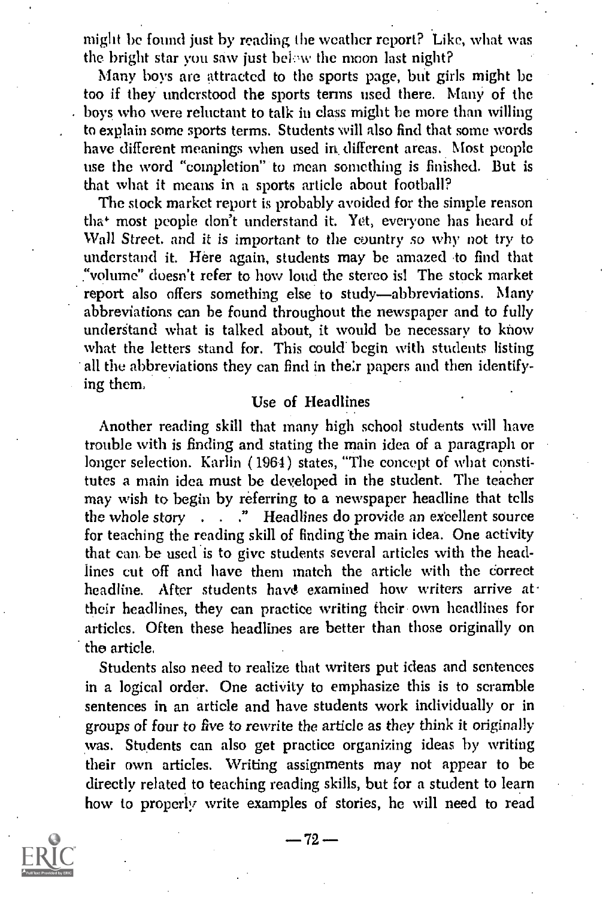might be found just by reading the weather report? Like, what was the bright star you saw just below the moon last night?

Many boys are attracted to the sports page, but girls might be too if they understood the sports terms used there. Many of the boys who were reluctant to talk in class might be more than willing to explain some sports terms. Students will also find that some words have different meanings when used in different areas. Most people use the word "completion" to mean something is finished. But is that what it means in a sports article about football?

The stock market report is probably avoided for the simple reason that most people don't understand it. Yet, everyone has heard of Wall Street. and it is important to the country so why not try to understand it. Here again, students may be amazed to find that "volume" doesn't refer to how loud the stereo is! The stock market report also offers something else to study-abbreviations. Many abbreviations can he found throughout the newspaper and to fully understand what is talked about, it would be necessary to know what the letters stand for. This could begin with students listing all the abbreviations they can find in their papers and then identifying them,

### Use of Headlines

Another reading skill that many high school students will have trouble with is finding and stating the main idea of a paragraph or longer selection. Karlin (1964) states, "The concept of what constitutes a main idea must be developed in the student. The teacher may wish to begin by referring to a newspaper headline that tells the whole story . . . . " Headlines do provide an excellent source for teaching the reading skill of finding the main idea. One activity that can be used is to give students several articles with the headlines cut off and have them match the article with the correct headline. After students have examined how writers arrive at their headlines, they can practice writing their own headlines for articles. Often these headlines are better than those originally on the article.

Students also need to realize that writers put ideas and sentences in a logical order. One activity to emphasize this is to scramble sentences in an article and have students work individually or in groups of four to five to rewrite the article as they think it originally was. Students can also get practice organizing ideas by writing their own articles. Writing assignments may not appear to be directly related to teaching reading skills, but for a student to learn how to properly write examples of stories, he will need to read

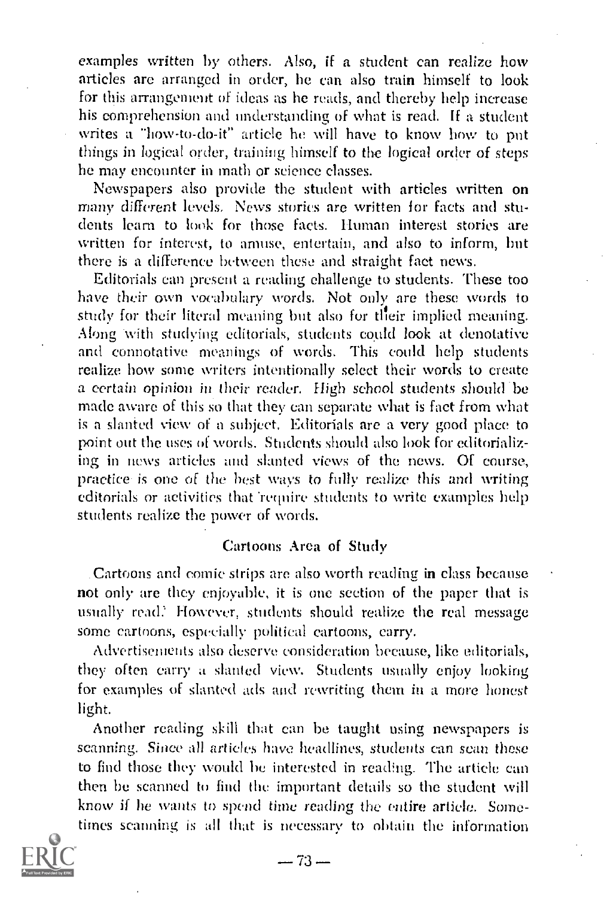examples written by others. Also, if a student can realize how articles are arranged in order, he can also train himself to look for this arrangement of ideas as he reads, and thereby help increase his comprehension and understanding of what is read, If a student writes a "how-to-do-it" article he will have to know how to put things in logical order, training himself to the logical order of steps he may encounter in math or science classes.

Newspapers also provide the student with articles written on many different levels, News stories are written for facts and students learn to look for those facts. Human interest stories are written for interest, to amuse, entertain, and also to inform, but there is a difference between these and straight fact news.

Editorials can present a reading challenge to students. These too have their own vocabulary words. Not only are these words to study for their literal meaning but also for their implied meaning. Along with studying editorials, students could look at denotative and connotative meanings of words. This could help students realize how some writers intentionally select their words to create a certain opinion in their reader. High school students should be made aware of this so that they can separate what is fact from what is a slanted view of a subject. Editorials are a very good place to point out the uses of words. Students should also look for editorializing in news articles and slanted views of the news. Of course, practice- is one of the best ways to fully realize this and writing editorials or activities that 'require students to write examples help students realize the power of words.

### Cartoons Area of Study

.Cartoons and comic strips arc also worth reading in class because not only are they enjoyable, it is one section of the paper that is usually read.<sup>9</sup> However, students should realize the real message some cartoons, especially political cartoons, carry.

Advertisements also deserve consideration because, like editorials, they often carry a slanted view. Students usually enjoy looking for examples of slanted ads and rewriting them in a more honest light.

Another reading skill that can be taught using newspapers is scanning. Since all articles have headlines, students can scan these to find those they would be interested in reading. The article can then be scanned to find the important details so the student will know if he wants to spend time reading the entire article. Sometimes scanning is all that is necessary to obtain the inforrnation

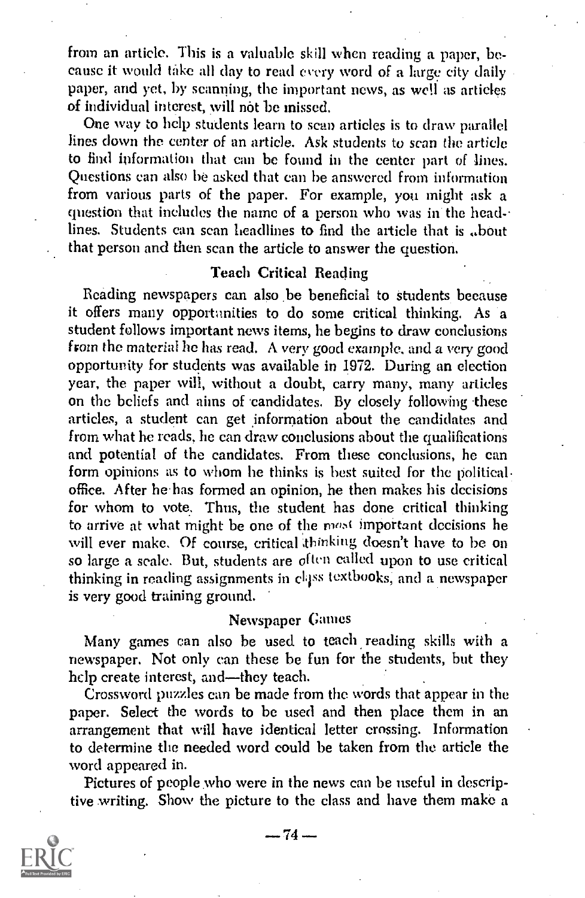from an article. This is a valuable skill when reading a paper, because it would take all day to read every word of a large city daily paper, and yet, by scanning, the important news, as well as articles of individual interest, will not be missed.

One way to help students learn to scan articles is to draw parallel lines down the center of an article. Ask students to scan the article to find information that can he found in the center part of lines. Questions can also be asked that can be answered from information from various parts of the paper. For example, you might ask a question that includes the name of a person who was in the headlines. Students can scan headlines to find the article that is ..bout that person and then scan the article to answer the question.

# Teach Critical Reading

Reading newspapers can also be beneficial to Students because it offers many opportunities to do some critical thinking. As a student follows important news items, he begins to draw conclusions from the material he has read. A very good example, and a very good opportunity for students was available in 1972. During an election year, the paper will, without a doubt, carry many, many articles on the beliefs and aims of candidates. By closely following these articles, a student can get information about the candidates and from what he reads, he can draw conclusions about the qualifications and potential of the candidates. From these conclusions, he can form opinions as to whom he thinks is best suited for the political office. After he has formed an opinion, he then makes his decisions for whom to vote. Thus, the student has done critical thinking to arrive at what might be one of the most important decisions he will ever make. Of course, critical 'thinking doesn't have to be on so large a scale. But, students are often called upon to use critical thinking in reading assignments in class textbooks, and a newspaper is very good training ground.

# Newspaper Games

Many games can also be used to teach reading skills with a newspaper. Not only can these be fun for the students, but they help create interest, and-they teach.

Crossword puzzles can be made from the words that appear in the paper. Select the words to be used and then place them in an arrangement that will have identical letter crossing. Information to determine the needed word could be taken from the article the word appeared in.

Pictures of people who were in the news can be useful in descriptive writing. Show the picture to the class and have them make a



 $-74-$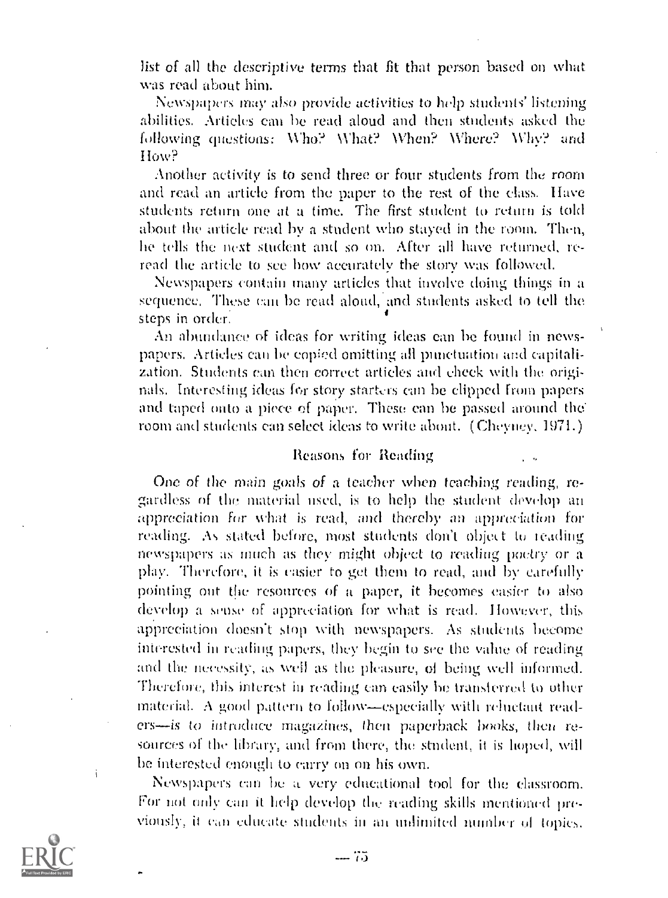list of all the descriptive terms that fit that person based on what was read about him.

Newspapers may also provide activities to help students' listening abilities. Articles can be read aloud and then students asked the Bellowing questions: \Alio? What? When? Where? Why? and I low?

Another activity is to send three or four students from the room and read an article from the paper to the rest of the class. Ifave students return one at a time. The first student to return is told about the article read by a student who stayed in the room. Then, he tells the next student and so on. After all have returned, reread the article to see how accurately the story was followed.

Newspapers contain many articles that involve doing things in a sequence. These can be read aloud, and students asked to tell the steps in order.

An abundance of ideas for writing ideas can he found in newspapers. Articles can be copied omitting all punctuation and capitalization. Students can then correct articles and check with the originals. Interesting ideas for story starters can be clipped from papers and taped onto a piece of paper. These can be passed around the room and students can select ideas to write about. (Cheyney, 1971.)

#### Reasons for Reading

One of the main goals of a teacher when teaching reading, regardless of the material used, is to help the student develop an appreciation for what is read, and thereby an appreciation for reading. As stated before, most students don't object to reading newspapers as much as they might object to reading poetry or a play. Therefore, it is easier to get them to read, awl by carefully pointing out the resources of it paper, it becomes easier to also develop a sense of appreciation for what is read. However, this appreciation doesn't stop with newspapers. As students become interested in reading papers, they begin to see the value of reading and the necessity, as well as the pleasure, of being well informed. Therefore, this interest in reading can easily be transterred to other material. A good pattern to follow—especially with reluctant readers-is to introduce magazines, then paperback books, then resources of the library, and from there, the student, it is hoped, will he interested enough to carry on on his own.

Newspapers an be a very educational tool for the classroom. For not only can it help develop the reading skills mentioned previously, it can educate students in an unlimited number of topics.

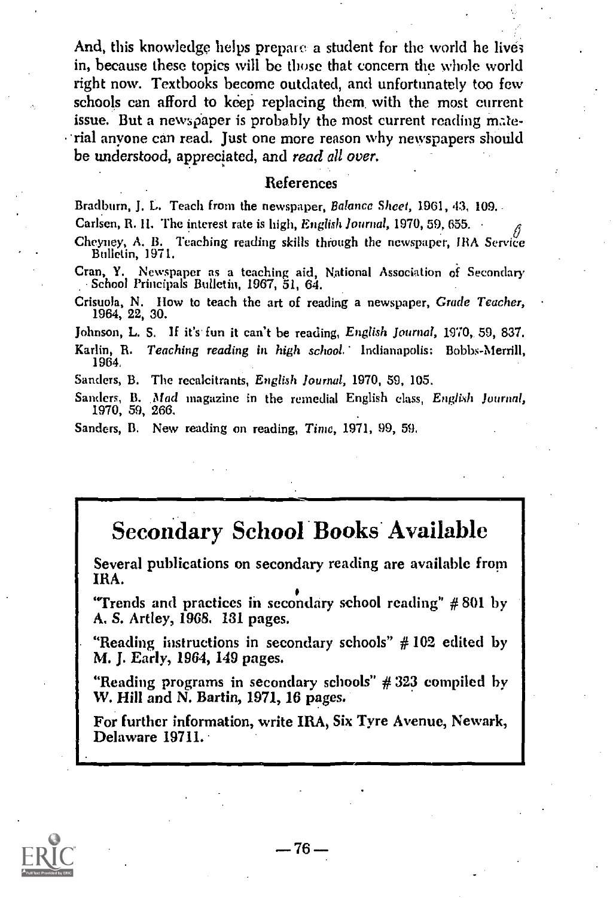And, this knowledge helps prepare a student for the world he lives in, because these topics will be those that concern the whole world right now. Textbooks become outdated, and unfortunately too few schools can afford to keep replacing them. with the most current issue. But a newspaper is probably the most current reading mate-  $\cdot$  rial anyone can read. Just one more reason why newspapers should be understood, appreciated, and read all over.

#### References

Bradburn, J. L. Teach from the newspaper, Balance Sheet, 1961, 43, 109. Carlsen, R. II. The interest rate is high, English Journal, 1970, 59, 655. #

Cheyney, A. B. Teaching reading skills through the newspaper, IRA Service Bulletin, 1971.

Cran, Y. Newspaper as a teaching aid, National Association of Secondary School Principals Bulletin, 1967, 51, 64.

Crisuola, N. How to teach the art of reading a newspaper, Crude Teacher, 1964, 22, 30.

Johnson, L. S. If it's fun it can't be reading, English Journal, 1970, 59, 837.

Karlin, R. Teaching reading in high school.' Indianapolis: Bobbs-Merrill, 1964,

Sanders, B. The recalcitrants, English Journal, 1970, 59, 105.

Sanders, B. Mad magazine in the remedial English class, English Journal, 1970, 59, 266.

Sanders, B. New reading on reading, Time, 1971, 99, 59,

# Secondary School Books. Available

Several publications on secondary reading are available from IRA.

"Trends and practices in secondary school reading" # 801 by A. S. Artley, 1968. 131 pages.

"Reading instructions in secondary schools"  $#102$  edited by M. J. Early, 1964, 149 pages.

"Reading programs in secondary schools" # 323 compiled by W. Hill and N. Bartin, 1971, 16 pages.

For further information, write IRA, Six Tyre Avenue, Newark, Delaware 19711.

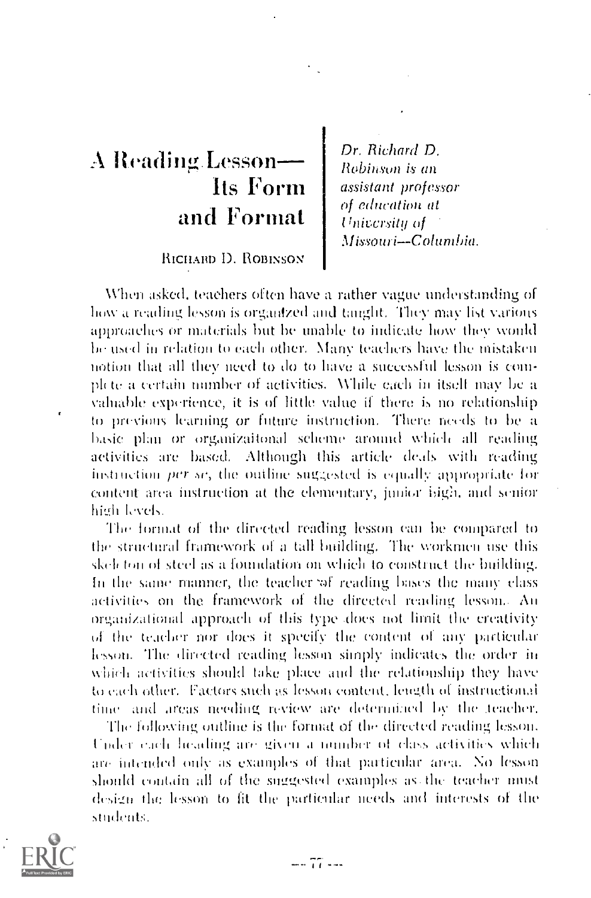# A Reading Lesson-Its Form and Format

RICHARD D. ROBINSON

Dr. Richard D. Robinson is an assistant professor of education at University of Missouri-Columbia.

When asked, teachers often have a rather vague understanding of how a reading lesson is organized and tanglit. They may list various approaches or materials but be unable to indicate how they would be used in relation to each other. Many teachers have the mistaken notion that all they need to do to have a successful lesson is complete a certain number of activities. While each in itself may be a valuable experience, it is of little value if there is no relationship to previous learning or future instruction. There needs to be a basic plan or organizaitonal scheme around which all reading activities are based. Although this article deals with reading instruction *per se*, the outline suggested is equally appropriate for content area instruction at the elementary, junior bigh, and senior high levels.

The format of the directed reading lesson can be compared to the structural framework of a tall building. The workmen use this skeleton of steel as a foundation on which to construct the building. In the same manner, the teacher of reading bases the many class activities on the framework of the directed reading lesson. An organizational approach of this type does not limit the creativity of the teacher nor does it specify the content of any particular lesson. The directed reading lesson simply indicates the order in which activities should take place and the relationship they have to each other. Factors such as lesson content, length of instructional time and areas needing review are determined by the teacher,

The following outline is the format of the directed reading lesson. Under each heading are given a number of class activities which are intended only as examples of that particular area. No lesson should contain all of the suggested examples as the teacher must design the lesson to fit the particular needs and interests of the students.

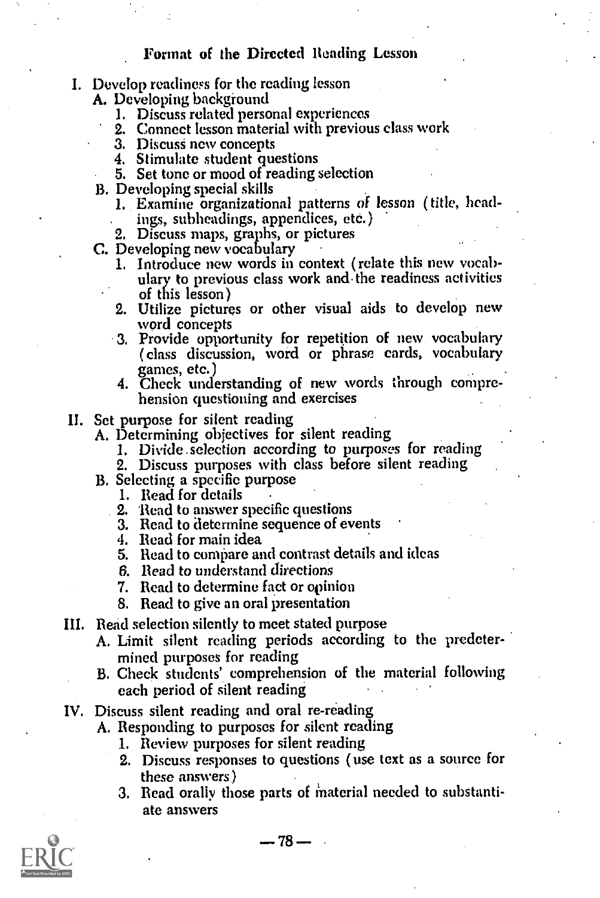#### I. Develop readiness for the reading lesson

A. Developing background

- I. Discuss related personal experiences
- 2. Connect lesson material with previous class work
- 
- 4. Stimulate student questions
- 5. Set tone or mood of reading selection
- - 1. Examine organizational patterns of lesson ( title, head-. ings, subheadings, appendices, eto.)
	- 2. Discuss maps, graphs, or pictures
- C. Developing new vocabulary
	- 1. Introduce new words in context ( relate this new vocabulary to previous class work and the readiness activities of this lesson)
	- 2. Utilize pictures or other visual aids to develop new
	- 3. Provide opportunity for repetition of new vocabulary (class discussion, word or phrase cards, vocabulary games, etc.)
	- 4. Check understanding of new words through comprehension questioning and exercises
- 

II. Set purpose for silent reading A. Determining objectives for silent reading

- 1. Divide . selection according to purposes for reading
- 2. Discuss purposes with class before silent reading
- B. Selecting a specific purpose
	- 1. Read for details
	- . 2. Read to answer specific questions
	- 3. Read to determine sequence of events
	- 4. Read for main idea
	- 5. Read to compare and contrast details and ideas
	- 6. Read to understand directions
	- 7. Read to determine fact or opinion
	- 8. Read to give an oral presentation
- HI. Read selection silently to meet stated purpose
	- A. Limit silent reading periods according to the predetermined purposes for reading
	- B. Check students' comprehension of the material following each period of silent reading
- IV. Discuss silent reading and oral re-reading
	- A. Responding to purposes for silent reading
		- 1. Review purposes for silent reading
		- 2. Discuss responses to questions ( use text as a source for these answers)
		- 3. Read orally those parts of material needed to substantiate answers

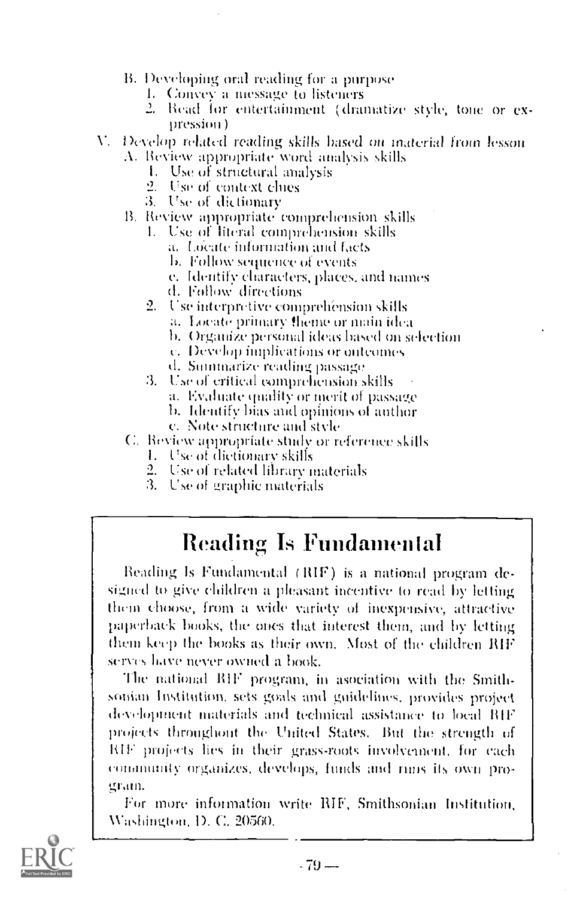- B. Developing oral reading for a purpose
	- 1. Convey a message to listeners
	- 2. Read for entertainment (dramatize style, tone or expression)
- V. Develop related reading skills based on material from lesson
	- A. Review appropriate word analysis skills
		- 1. Use of structural analysis
		- 2. Use of context clues
		- 3. Use of dictionary
	- B. Review appropriate comprehension skills
		- 1. Use of literal comprehension skills
			- a. Locate information and facts
			- b. Follow sequence of events
			- e. Identify characters, places, and names
			- d. Follow directions
		- 2. Use interpretive comprehension skills
			- a. Locate primary theme or main idea
			- b. Organize personal ideas based on selection
			- c. Develop implications or outcomes
			- d. Summarize reading passage
		- 3. Use of critical comprehension skills
			- a. Evaluate quality or merit of passage
			- b. Identify bias and opinions of anthor
			- c. Note structure and style
	- C. Review appropriate study or reference skills
		- 1. Use of dictionary skills
		- 2. Use of related library materials
		- 3. Use of graphic materials

# Reading Is Fundamental

Reading Is Fundamental (RIF) is a national program designed to give children a pleasant incentive to read by letting them choose, from a wide variety of inexpensive, attractive paperback books, the ones that interest them, and by letting them keep the books as their own. Most of the children RIF serves have never owned a book.

The national RIF program, in asociation with the Smithsonian Institution, sets goals and guidelines, provides project development materials and technical assistance to local RIF projects throughout the United States. But the strength of RIF projects lies in their grass-roots involvement, for each community organizes, develops, funds and runs its own program.

For more information write RIF, Smithsonian Institution, Washington, D. C. 20560.

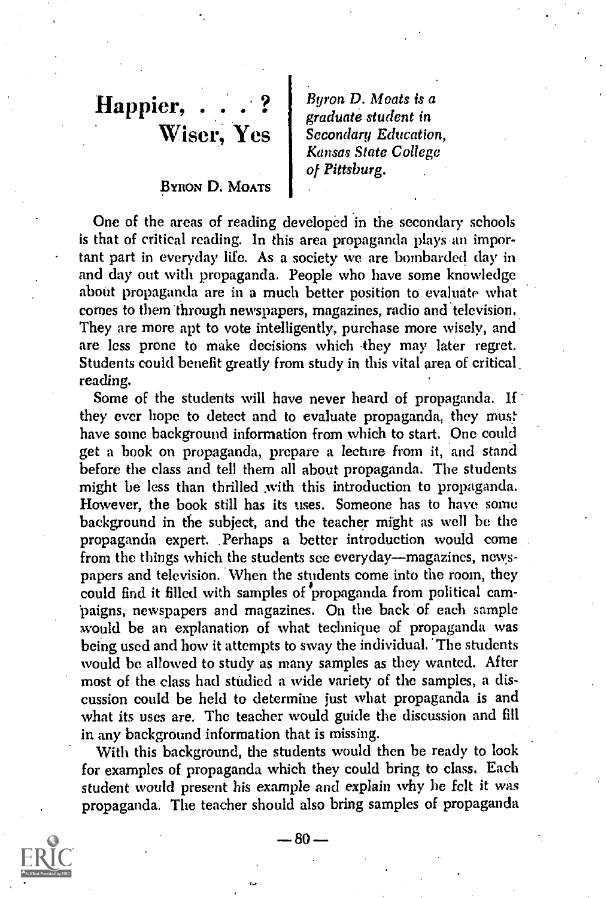# $\text{Happier}, \;\ldots \; . \; ? \;\; | \;\; \substack{\textit{Byron} \textit{Byron}}$ Wiser, Yes | Seconda

# BYRON D. MOATS

Byron D. Moats is a graduate student in Secondary Education, Kansas State College of Pittsburg,

One of the areas of reading developed in the secondary schools is that of critical reading. In this area propaganda plays an important part in everyday life. As a society we are bombarded day in and day out with propaganda. People who have some knowledge about propaganda are in a much better position to evaluate what comes to them through newspapers, magazines, radio and television. They are more apt to vote intelligently, purchase more wisely, and are less prone to make decisions which they may later regret. Students could benefit greatly from study in this vital area of critical. reading.

Some of the students will have never heard of propaganda. If they ever hope to detect and to evaluate propaganda, they must have some background information from which to start. One could get a book on propaganda, prepare a lecture from it, and stand before the class and tell them all about propaganda. The students might be less than thrilled with this introduction to propaganda. However, the book still has its uses. Someone has to have some background in the subject, and the teacher might as well be the propaganda expert. Perhaps a better introduction would come from the things which the students see everyday—magazines, newspapers and television. When the students come into the room, they could find it filled with samples of propaganda from political campaigns, newspapers and magazines. On the back of each sample would be an explanation of what technique of propaganda was being used and how it attempts to sway the individual. The students would be allowed to study as many samples as they wanted. After most of the class had studied a wide variety of the samples, a discussion could be held to determine just what propaganda is and what its uses are. The teacher would guide the discussion and fill in any background information that is missing.

With this background, the students would then be ready to look for examples of propaganda which they could bring to class. Each student would present his example and explain why he felt it was propaganda. The teacher should also bring samples of propaganda



 $-80-$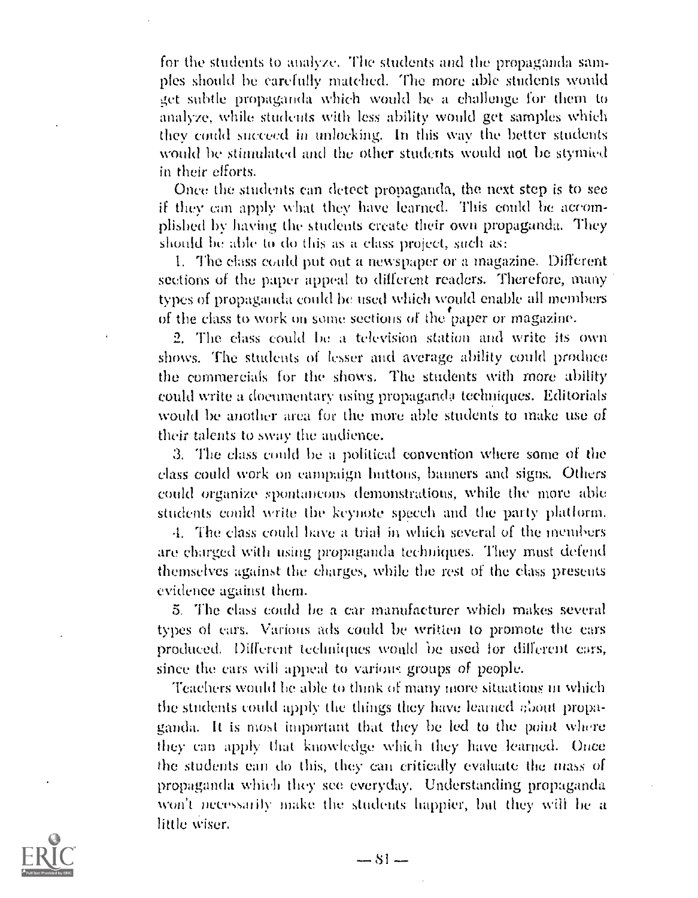for the students to analyze, The students and the propaganda samples should be carefully matched. The more able students would get subtle propaganda which would be a challenge for them to analyze, while students with less ability would get samples which they could succeed in unlocking. In this way the better students would be stimulated and the. other students would not be stymied in their efforts.

Once the students can detect propaganda, the next step is to see if they can apply what they have learned. This could be accomplished by having the students create their own propaganda. They should be able to do this as a class project, such as:

I. Tile class could put Out a newspaper or a magazine. Different sections of the paper appeal to different readers. Therefore, many types of propaganda could be used which would enable all members of the class to work on some sections of the paper or magazine.

2. The class could ho a television station and write its own shows. The students of lesser and average ability could produce the commercials for the shows. The students with more ability could write a documentary using propaganda techniques. Editorials would be another area for the more able students to make use of their talents to sway the audience.

3. The class could be a political convention where some of the class could work on campaign buttons, banners and signs. Others could organize spontaneous demonstrations, while the more able students could write the keynote speech and the party platform.

.1. The class could liave a trial in which several of the members are charged with using propaganda techniques. They must defend themselves against the charges, while the rest of the class presents evidence against them.

5. The class could be a car manufacturer which makes several types of ears. Various ads could be written to promote the cars produced. Different techniques would be used for different cars, since the cars will appeal to various groups of people.

Teachers would he able to think of many more situations in which the students could apply the things they have learned about propaganda. It is most important that they be led to the point where they can apply that knowledge which they have learned. Once the students can do this, they can critically evaluate the mass of propaganda which they see everyday. Understanding propaganda won't necessarily make the students happier, but they will be a little wiser.

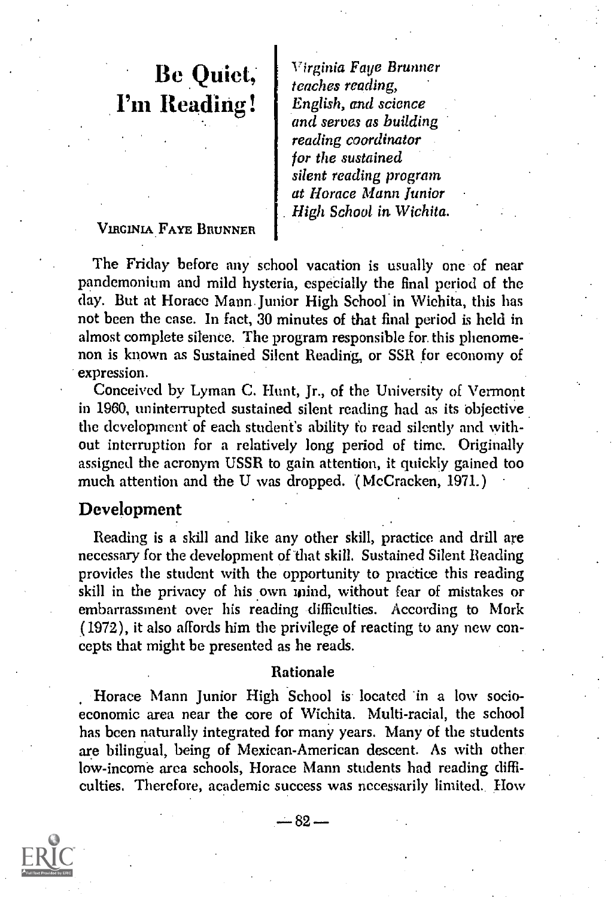# Be Quiet, I'm Reading!

Virginia Faye Brunner teaches reading, English, and science and serves as building reading coordinator for the sustained silent reading program at Horace Mann Junior . High School in Wichita.

### VIRGINIA FAYE BRUNNER

The Friday before any school vacation is usually one of near pandemonium and mild hysteria, especially the final period of the day. But at Horace Mann. unior High School in Wichita, this has not been the case. In fact, 30 minutes of that final period is held in almost complete silence. The program responsible for. this phenomenon is known as Sustained Silent Reading, or SSR for economy of expression.

Conceived by Lyman C. Hunt, Jr., of the University of Vermont in 1960, uninterrupted sustained silent reading had as its objective the development of each student's ability to read silently and without interruption for a relatively long period of time. Originally assigned the acronym USSR to gain attention, it quickly gained too much attention and the U was dropped. '( McCracken, 1971.)

# Development

Reading is a skill and like any other skill, practice and drill are necessary for the development of that skill. Sustained Silent Beading provides the student with the opportunity to practice this reading skill in the privacy of his own inind, without fear of mistakes or embarrassment over his reading difficulties. According to Mork (1972), it also affords him the privilege of reacting to any new concepts that might be presented as he reads.

#### Rationale

Horace Mann Junior High School is located in a low socioeconomic area near the core of Wichita. Multi-racial, the school has been naturally integrated for many years. Many of the students are bilingual, being of Mexican-American descent. As with other low-income area schools, Horace Mann students had reading difficulties. Therefore, academic success was necessarily limited. How<br> $-82 -$ 

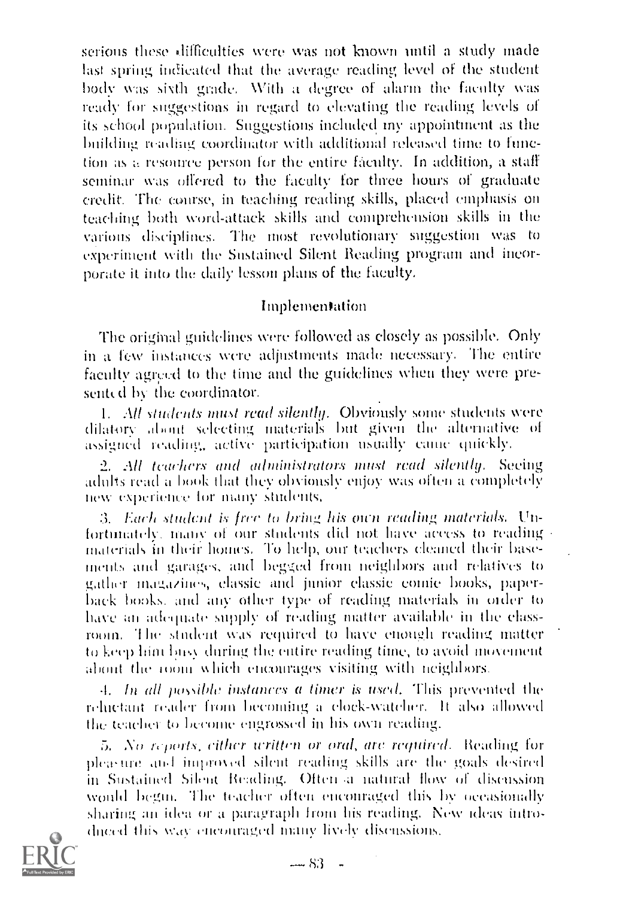serious these difficulties were was not known until a study made last spring indicated that the average reading level of the student body was sixth grade. With a degree of alarm the faculty was ready for suggestions in regard to elevating the reading levels of its school population. Suggestions included my appointment as the building reading coordinator with additional released time to function as resource person for the entire faculty. In addition, a staff seminar was offered to the faculty for three hours of graduate credit. The course, in teaching reading skills, placed emphasis on teaching both word-attack skills and comprehension skills in the various disciplines. The most revolutionary suggestion was to experiment with the Sustained Silent Heading program and incorporate it into the daily lesson plans of the faculty.

### Implementation

The original guidelines were followed as closely as possible. Only in a few instances were adjustments made necessary. The entire faculty agreed to the time and the guidelines when they were presented by the coordinator.

1. All students must read silently. Obviously some students were dilatory about selecting, materials but given the alternative of assigned reading, active participation usually came quickly.

2. All teachers and administrators must read silently. Seeing aduks read a book that they obviously enjoy was often a completely new experience for many students.

3. Each student is free to bring his own reading materials. Unfortunately, many of our students did not have access to reading materials in their homes. To help, our teachers cleaned their basements and garages, and begged from neighbors and relatives to gather maga/ins, classic and junior classic cootie books, paperback hooks. and any other type of reading materials in older to have an adequate supply of reading matter available in the classroom. 'I he studeut was required to have enough reading matter to keep him busy during the entire reading time, to avoid movement about the room which encourages visiting with neighbors.

 $4.$  In all possible instances a timer is used. This prevented the reluctant reader from becoming a clock-watcher. It also allowed the teacher to become engrossed in his own reading.

5. No reports, either written or oral, are required. Reading for pleasure and improved silent reading skills are the goals desired in Sustailied Silent Heading. Oben a uahtral flow of discussion would begut. The teacher often encouraged this by occasionally sharing an idea or a paragraph from his reading. New ideas introduced this way encouraged many lively discussions.

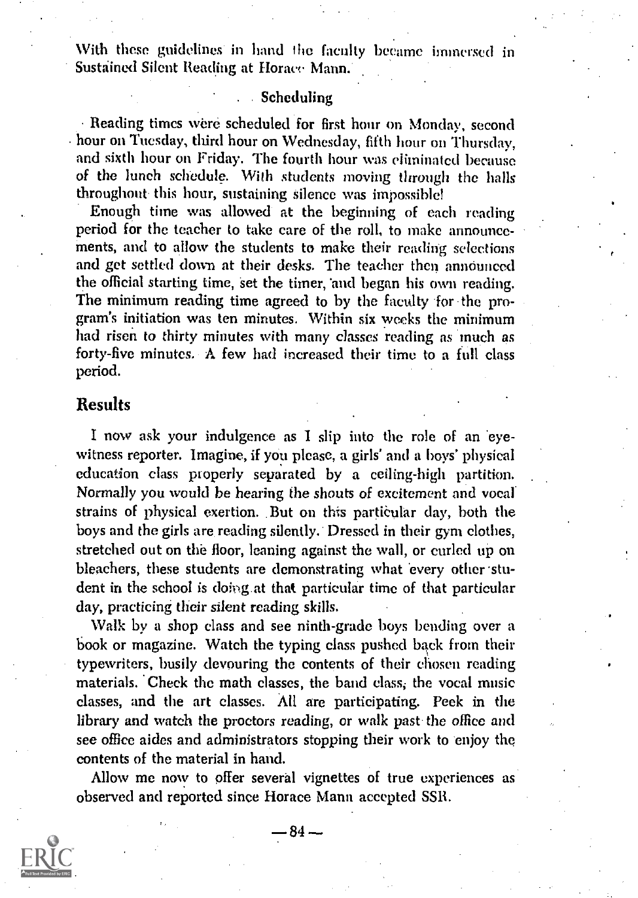With these guidelines in hand the faculty became immersed in Sustained Silent Reading at Horace Mann.

### . Scheduling

Reading times were scheduled for first hour on Monday, second hour on Tuesday, third hour on Wednesday, fifth hour on Thursday, and sixth hour on Friday. The fourth hour was eliminated because of the lunch schedule. With students moving through the halls throughout this hour, sustaining silence was impossible!

Enough time was allowed at the beginning of each reading period for the teacher to take care of the roll, to make announcements, and to allow the students to make their reading selections and get settled down at their desks. The teacher then announced the official starting time, set the timer, 'and began his own reading. The minimum reading time agreed to by the faculty for the program's initiation was ten minutes. Within six weeks the minimum had risen to thirty minutes with many classes reading as much as forty-five minutes. A few had increased their time to a full class period.

# Results

I now ask your indulgence as I slip into the role of an 'eyewitness reporter. Imagine, if you please, a girls' and a boys' physical education class properly separated by a ceiling-high partition. Normally you would be hearing the shouts of excitement and vocal. strains of physical exertion. .But on this particular day, both the boys and the girls are reading silently. Dressed in their gym clothes, stretched out on the floor, leaning against the wall, or curled up on bleachers, these students are demonstrating what every other student in the school is doing.at that particular time of that particular day, practicing their silent reading skills.

Walk by a shop class and see ninth-grade boys bending over a book or magazine. Watch the typing class pushed back from their typewriters, busily devouring the contents of their chosen reading materials. 'Check the math classes, the band class; the vocal music classes, and the art classes. All are participating. Peek in the library and watch the proctors reading, or walk past the office and see office aides and administrators stopping their work to enjoy the contents of the material in hand.

Allow me now to offer several vignettes of true experiences as % observed and reported since Horace Mann accepted SSR.<br> $-84-$ 

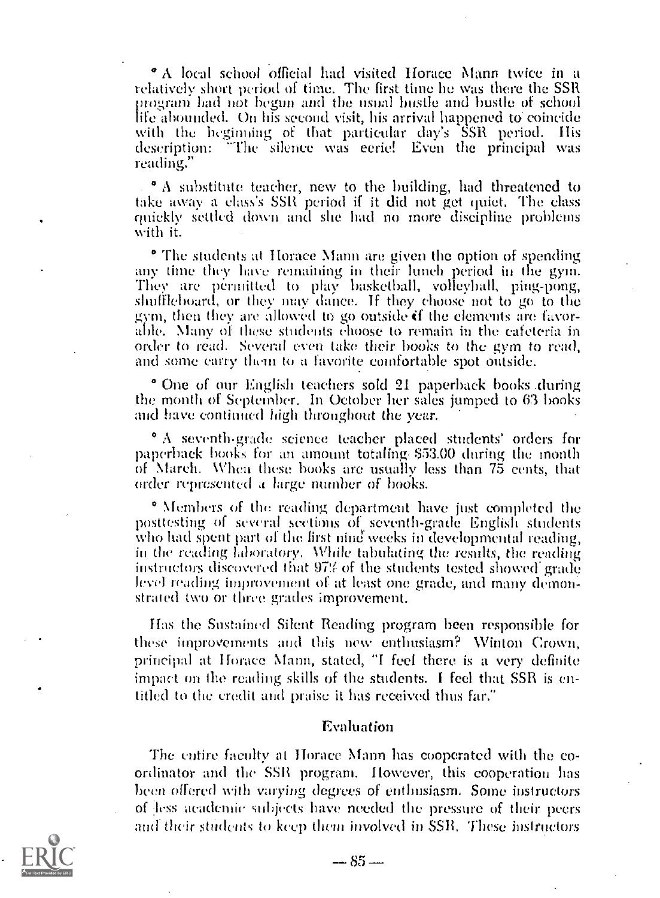° A local school official had visited Horace Mann twice in a relatively short period of time. The first time he was there the SSR program had not begun and the usual hustle and bustle of school with the heginning of that particular day's SSR period. His description: -The silence was eerie! Even the principal was reading?'

° A substitute teacher, new to the building, had threatened to take away a class's SSR period if it did nut get quiet. The class quickly settled down and she had no more discipline problems with it.

o The students at Itorace Mann are given the option of spending any time they have remaining in their lunch period in the gym.<br>They are permitted to play basketball, volleyball, ping-pong,<br>shuffleboard, or they may dance. If they choose not to go to the<br>gym, then they are allowed to go order to read. Several even take their books to the gym to read, and some carry them to a favorite comfortable spot outside.

o One of our English teachers sold 21 paperback books .during the month of September. In October her sales jumped to (3 books and have continued high throughout the year.

<sup>o</sup> A seventh-grade science teacher placed students' orders for paperback books for an amount totaling \$53.00 during the month of March. When these books are usually less than 75 cents, that order represented a large numbe

o Nfembers of the reading department have just completed the posttesting of several sections of seventh-grade English students who had spent part of the first nine weeks in developmental reading, in the reading laboratory. While tabulating the results, the reading instructors discovered that 97% of the students tested showed grade. level reading improvement of at least one grade, and many demon- strated two or three grades improvement.

Has the Sustained Silent Reading program been responsible for these improvements mid this new enthusiasm? Winton Crown, principal at Horace Mann, stated, "I feel there is a very definite impact on the reading skills of the students. I feel that SSR is entitled to the credit and praise it has received thus far."

#### Evaluation

The entire faculty at Horace Mann has cooperated with the coordinator and the SSR program. However, this cooperation has been offered with varying degrees of enthusiasm. Some instructors of less teadenrie subjects have needed the pressure of their peers and their students to keep them involved in SSR. These instructors  $-85-$ 

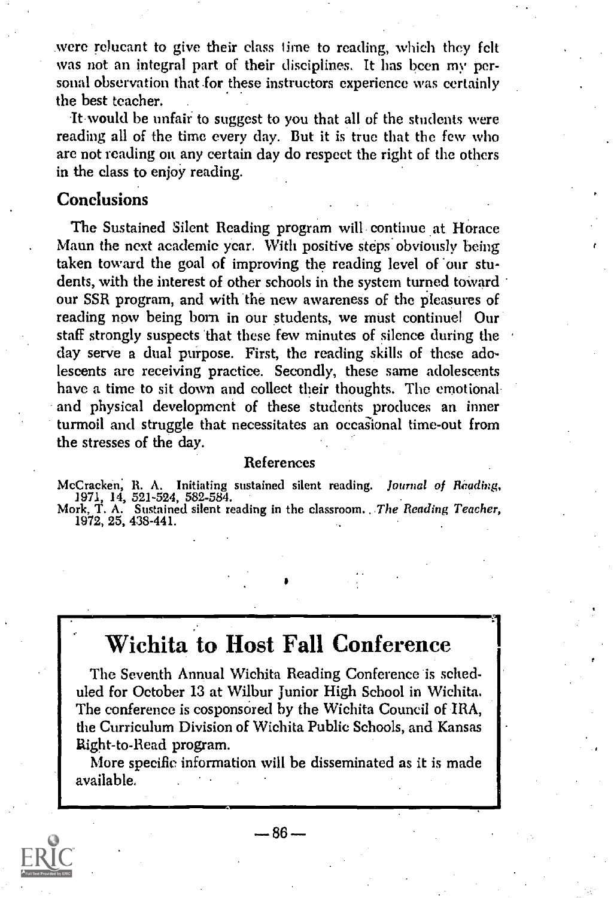were relucant to give their class lime to reading, which they felt was not an integral part of their disciplines. It has been my personal observation that for these instructors experience was certainly the best teacher. .

It would be unfair to suggest to you that all of the students were reading all of the time every day. But it is true that the few who are not reading on any certain day do respect the right of the others in the class to enjoy reading.

# **Conclusions**

The Sustained Silent Reading program will continue at Horace Mann the next academic year. With positive steps obviously being taken toward the goal of improving the reading level of our students, with the interest of other schools in the system turned toward our SSR program, and with the new awareness of the pleasures of reading now being born in our students, we must continue! Our staff strongly suspects that these few minutes of silence during the clay serve a dual purpose. First, the reading skills of these adolescents are receiving practice. Secondly, these same adolescents have a time to sit down and collect their thoughts. The emotional and physical development of these students produces an inner turmoil and struggle that necessitates an occasional time-out from the stresses of the day.

#### References

McCracken, R. A. Initiating sustained silent reading. *Journal of Reading,*<br>1971, 14, 521-524, 582-584.<br>Mork, T. A. Sustained silent reading in the classroom. *The Reading Teacher,* 

1972, 25, 438-441.

# Wichita to Host Fall Conference

The Seventh Annual Wichita Reading Conference is scheduled for October 13 at Wilbur junior High School in Wichita. The conference is cosponsored by the Wichita Council of IRA, the Curriculum Division of Wichita Public Schools, and Kansas Right-to-Read program.

More specific information will be disseminated as it is made available.



 $-86-$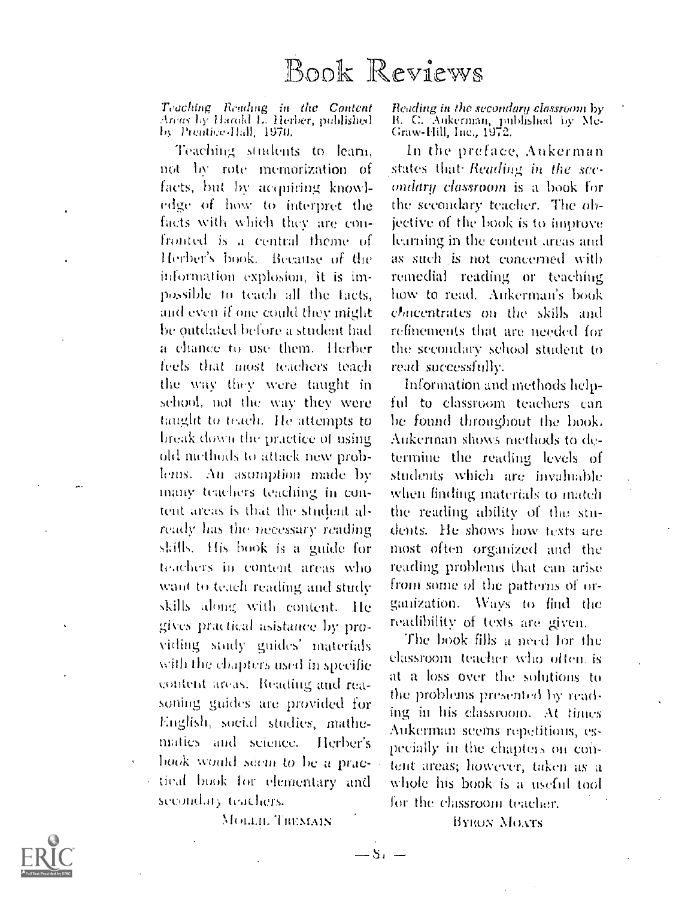Teaching Reading in the Content<br>Areas by Harold L. Herber, published<br>by Prentice-Hall, 1970.

Teaching students to learn. not by rote memorization of facts, but by acquiring knowledge of how to interpret the facts with which they are confronted is a central theme of Herber's book. Because of the information explosion, it is impossible to teach all the facts, and even if one could they might be outdated before a student had a chance to use them. Herber feels that most teachers teach the way they were taught in school, not the way they were taught to teach. He attempts to break down the practice of using old nicthods to attack new problems. An asumption made by many teachers teaching in content areas is that the student already has the necessary reading skills. His book is a guide for teachers in content areas who want to teach reading and study skills along with content. He gives practical asistance by providing study guides' materials with the chapters used in specific content areas. Reading and reasoning guides are provided for English, social studies, mathematics and science. Herber's book would seem to be a prac-- tical book for elementary and secondary teachers.

MOLLIE TREMAIN

 $-8.1$ 

Reading in the secondary classroom by R. C. Ankerman, published by Me-<br>Graw-Hill, Inc., 1972.

In the preface, Aukerman states that Reading in the secondary classroom is a book for the secondary teacher. The objective of the book is to improve learning in the content areas and as such is not concerned with remedial reading or teaching how to read. Aukerman's book chacentrates on the skills and refinements that are needed for the secondary school student to read successfully.

Information and methods helpful to classroom teachers can be found throughout the book. Aukerman shows methods to determine the reading levels of students which are invaluable when finding materials to match the reading ability of the students. He shows how texts are most often organized and the reading problems that can arise from some of the patterns of organization. Ways to find the readibility of texts are given.

The book fills a need for the classroom teacher who often is at a loss over the solutions to the problems presented by reading in his classroom. At times Aukerman seems repetitions, especially in the chapters on content areas; however, taken as a whole his book is a useful tool for the classroom teacher.

**BYRON MOATS** 

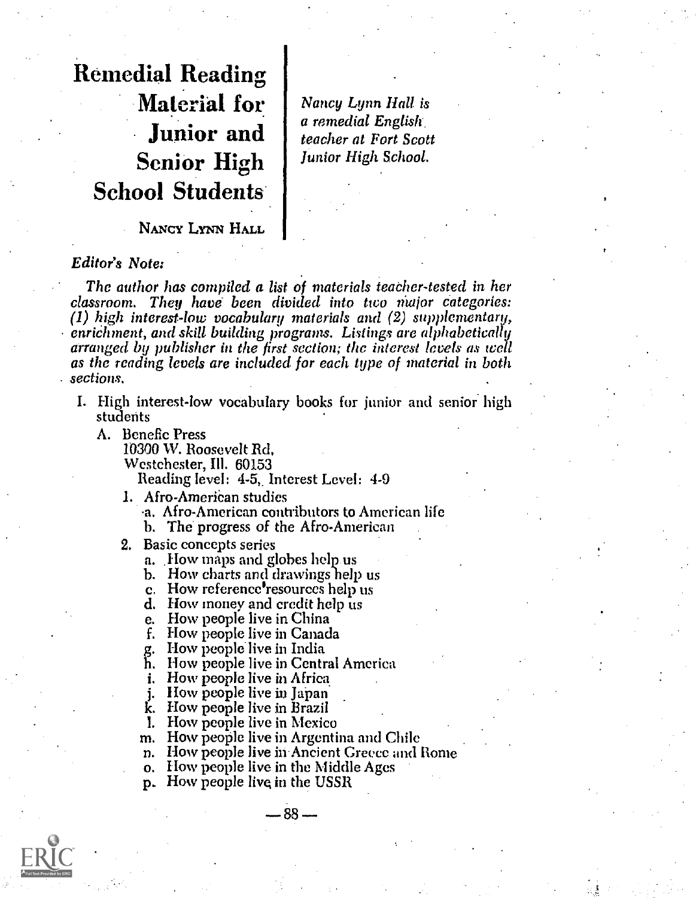Remedial Reading Material for Junior and Senior High School Students

Nancy Lynn Hall is a remedial English. teacher at Fort Scott Junior High School.

NANCY LYNN HALL

#### Editor's Note:

The author has compiled a list of materials teacher-tested in her classroom. They have been divided into two Major categories: (1) high interest-low vocabulary materials and (2) supplementary, enrichment, and skill building programs. Listings are alphabetically arranged by publisher in the first section; the interest levels as well as the reading levels are included for each type of material in both sections.

- I. High interest-low vocabulary books for junior and senior high students
	- A. Benefic Press

10300 W. Roosevelt Rd. Westchester, Ill. 60153 Reading level: 4-5, Interest Level: 4-9

1. Afro-American studies

a. Afro-American contributors to American life

b. The progress of the Afro-American

- 2. Basic concepts series
	- a. How maps and globes help us
	- b. How charts and drawings help us
	- c. How reference resources help us d. How money and credit help us
	-
	-
	- e. How people live in China<br>f. How people live in Canada
	-

g. How people live in India<br>h. How people live in Central America

- i. How people live in Africa
- j. How people live in Japan
- k. How people live in Brazil
- 1. How people live in Mexico
- m. How people live in Argentina and Chile
- n. How people live in Ancient Greece and Rome

 $88 -$ 

- o. How people live in the Middle Ages
- p. How people live in the USSR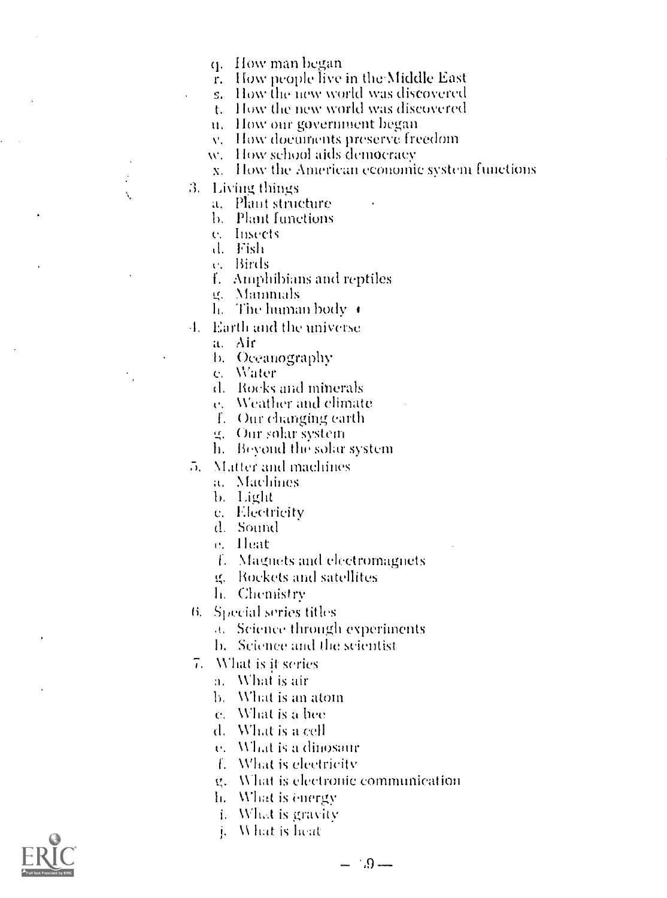q. How man began

r. How people live in the Middle East

s. How the new world was discovered

t. How the new world was discovered

u. How our government began

v. How documents preserve freedom

w. How school aids democracy

x. How the American economic system functions

3. Living things

 $\cdot$ 

Ň.

a. Plant structure

**b.** Plant functions

e. Insects

d. Fish

c. Birds

f. Amphibians and reptiles

g. Mannmals

h. The human body  $\;\bullet$ 

4. Earth and the universe

a. Air

b. Oceanography

c. Water

d. Rocks and minerals

e. Weather and climate

f. Our changing earth

g. Our solar system

h. Beyond the solar system

5. Matter and machines

a. Machines

b. Light

e. Electricity

d. Sound

e. Heat

f. Magnets and electromagnets

g. Rockets and satellites

h. Chemistry

6. Special series titles

a. Science through experiments

h. Science and the scientist

7. What is it series

a. What is air

b. What is an atom

c. What is a bee

d. What is a cell

e. What is a dinosaur

f. What is electricity

g. What is electronic communication

h. What is energy

i. What is gravity

What is heat į.



 $-1.9-$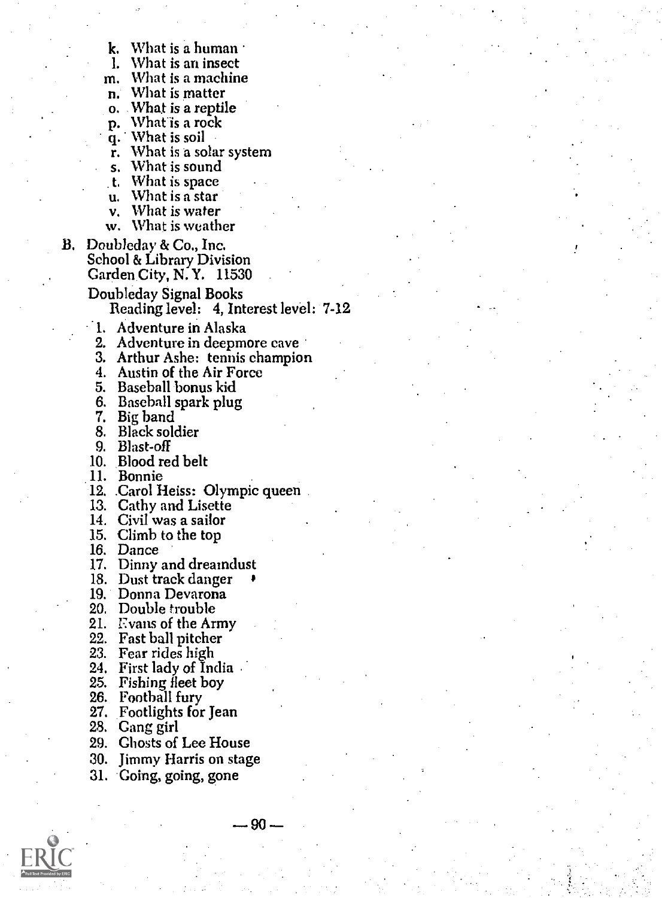- k. What is a human<br>1. What is an insect
- 1. What is an insect<br>m. What is a machin
- What is a machine.
- n. What is matter
- o. What is a reptile p. Whatis a rock
- 
- q. What is soil
- $\bar{r}$ . What is a solar system
- s. What is sound
- t. What is space<br>u. What is a star<br>v. What is water
- 
- What is water
- w. What is weather
- B. Doubleday & Co., Inc. School & Library Division Garden City, N.Y. 11530
	- Doubleday Signal Books Reading level: 4, Interest level: 7-12
	- 1. Adventure in Alaska
	-
	- 2. Adventure in deepmore cave 3. Arthur Ashe: tennis champion
	- 4. Austin of the Air Force
	- 5. Baseball bonus kid
	- 6. Baseball spark plug
	- 7. Big band
	- 8. Black soldier
	- 9. Blast-off
	- 10. Blood red belt
	- 11. Bonnie
	- 12. .Carol Heiss: Olympic queen 13. Cathy and Lisette
	-
	- 14. Civil was a sailor
	- 15. Climb to the top 16. Dance
	-
	- 17. Dinny and dreamdust 18. Dust track danger
	-
	- 19. Donna Devarona
	- 20. Double trouble
	- 21. Evans of the Army
	- 22. Fast ball pitcher
	- 23. Fear rides high
	- 24. First lady of India
	- 25. Fishing fleet boy
	- 26. Football fury
	- 27. Footlights for Jean
	- 28. Gang girl
	- 29. Ghosts of Lee House
	- 30. Jimmy Harris on stage
	- 31. 'Going, going, gone



- 90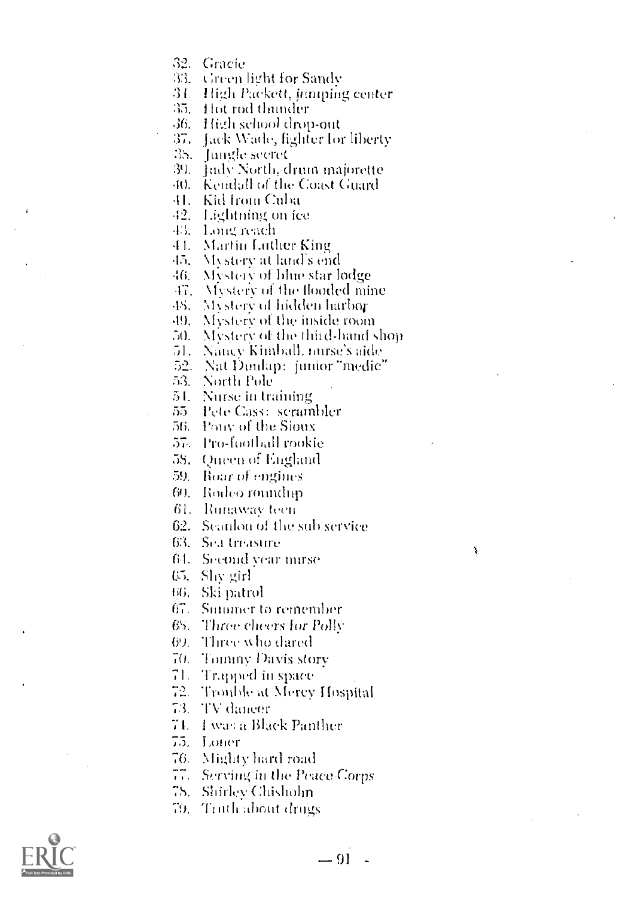32. Gracie

33. Green light for Sandy

34. High Packett, jumping center

35. Hot rod thunder

36. High school drop-out

37. Jack Wade, fighter for liberty

38. Jungle secret

39. Jady North, drum majorette

40. Kendall of the Coast Guard

41. Kid from Cuba

42. Lightning on ice

43. Long reach

44. Martin Luther King

45. Alystery at land's end

 $-6$ Mystery of blue star lødge

47. Mystery of the flooded mine

Mystery of hidden harbor  $48 -$ 

49. Mystery of the inside room

50. Mystery of the third-hand shop

51. Nancy Kimball, mirse's aide

52 - Nat Dunlap: junior "medic"

53. – North Pole

51. Nurse in training

55 Pete Cass: scrambler

56. Pouv of the Sioux

57. Pro-foothall rookie

58. Queen of England

59. Boar of engines

60. Rodeo roundup

61. Runaway teen

62. Seanlon of the sub-service

63. Sea treasure

64. Second vear mirse

65. Shy girl

66. Ski patrol

67. Summer to remember

68. Three cheers for Polly

69 Three who dared

70. Tommy Davis story

71. - Trapped in space

72. Trouble at Mercy Hospital

73 - TV dancer

74. I was a Black Panther

75. Loner

76. Mighty hard road

77. Serving in the Peace Corps

78. – Shirley Chisholm

79. Truth about drugs



Ą,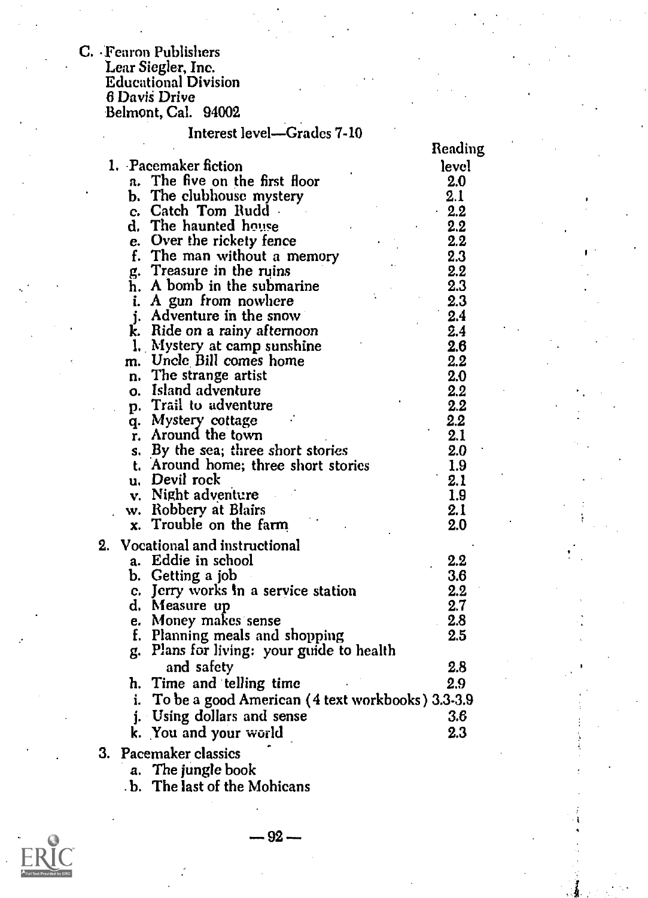C. .Fearon Publishers Lear Siegler, Inc. Educational Division 6 Davis Drive Belmont, Cal. 94002

# Interest level-Grades 7-10

|                                                        | Reading |
|--------------------------------------------------------|---------|
| 1. Pacemaker fiction                                   | level   |
| a. The five on the first floor                         | 2.0     |
| b. The clubhouse mystery                               | 2.1     |
| c. Catch Tom Rudd.                                     | $-2.2$  |
| d. The haunted house                                   | 2.2     |
| e. Over the rickety fence                              | 2.2     |
| f. The man without a memory                            | 2.3     |
| g. Treasure in the ruins                               | 2.2     |
| h. A bomb in the submarine                             | 2.3     |
| A gun from nowhere<br>i.                               | 2.3     |
| j. Adventure in the snow                               | 2.4     |
| k. Ride on a rainy afternoon                           | 2.4     |
| 1. Mystery at camp sunshine                            | 2.6     |
| m. Uncle Bill comes home                               | 2.2     |
| n. The strange artist                                  | 2.0     |
| o. Island adventure                                    | 2.2     |
| p. Trail to adventure                                  | 2.2     |
| q. Mystery cottage                                     | 2.2     |
| r. Around the town                                     | 2.1     |
| s. By the sea; three short stories                     | 2.0     |
| t. Around home; three short stories                    | 1.9     |
| u. Devil rock                                          | 2.1     |
| v. Night adventure                                     | 1.9     |
| w. Robbery at Blairs                                   | 2.1     |
| Trouble on the farm<br>x.                              | 2.0     |
| 2.<br>Vocational and instructional                     |         |
| a. Eddie in school                                     | $2.2\,$ |
| b. Getting a job                                       | 3.6     |
| c. Jerry works in a service station                    | 2.2     |
| d. Measure up                                          | 2.7     |
| e. Money makes sense                                   | 2.8     |
| f. Planning meals and shopping                         | 2.5     |
| Plans for living: your guide to health<br>g.           |         |
| and safety                                             | 2.8     |
| h. Time and telling time                               | 2.9     |
| To be a good American (4 text workbooks) 3.3-3.9<br>i. |         |
| <i>i.</i> Using dollars and sense                      | 3.6     |
|                                                        | 2.3     |
| k. You and your world                                  |         |
| 3. Pacemaker classics                                  |         |

a. The jungle book

. b. The last of the Mohicans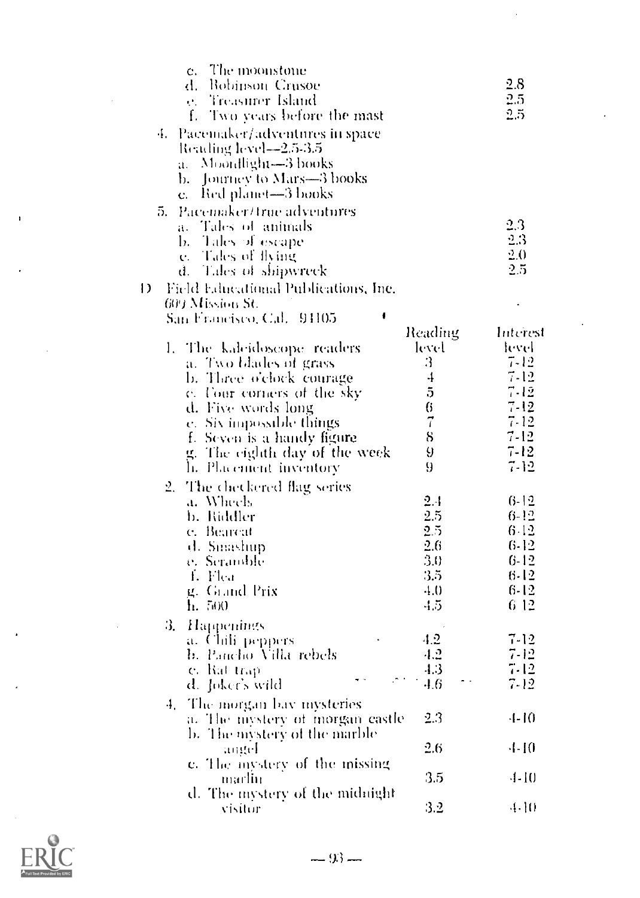| The moonstone<br>c.<br>d. – Robinson, Crusøe<br>Treasurer Island<br>e.<br>f.<br>Two years before the mast<br>4. Pacemaker/adventures in space<br>Reading level==2.5-3.5<br>a. Moondlight-3 books<br>b. – Journey to Mars—3 books             |           | 2.8<br>2.5<br>2,5        |
|----------------------------------------------------------------------------------------------------------------------------------------------------------------------------------------------------------------------------------------------|-----------|--------------------------|
| Red planet—3 books<br>$\mathbf{c}$ .<br>Pacemaker/true adventures<br>5.<br>a. Tales of animals<br>Tales of escape<br>b. Tales $\alpha$ s.<br><b>e.</b> Tales of flying<br>d. Tales of shipwreck<br>Ð<br>Field Educational Publications, Inc. |           | 2.3<br>2.3<br>2.0<br>2.5 |
| 609 Mission St.<br>San Francisco, Cal.<br>91105                                                                                                                                                                                              | Reading   | Interest                 |
| The kalcidoscope readers<br>Ι.                                                                                                                                                                                                               | level     | level                    |
| a. Two blades of grass                                                                                                                                                                                                                       | 3         | 7-12                     |
| b. Three o'clock courage                                                                                                                                                                                                                     | 4         | $7 - 12$                 |
| c. Tour corners of the sky                                                                                                                                                                                                                   | 5         | $7 - 12$                 |
| d. Five words long                                                                                                                                                                                                                           | 6         | 7-12                     |
| e. Six impossible things                                                                                                                                                                                                                     | $\vec{i}$ | 7-12                     |
| f. Seven is a handy figure                                                                                                                                                                                                                   | 8         | $7 - 12$                 |
| g. The eighth day of the week                                                                                                                                                                                                                | 9         | 7-12                     |
| h. Placement inventory                                                                                                                                                                                                                       | 9         | 7-12                     |
|                                                                                                                                                                                                                                              |           |                          |
| The checkered flag series<br>2.                                                                                                                                                                                                              |           |                          |
| a. Wheels                                                                                                                                                                                                                                    | 2.4       | 6-12                     |
| b. Riddler                                                                                                                                                                                                                                   | 2.5       | $6-12$                   |
| e. Bearcat                                                                                                                                                                                                                                   | 25        | 642                      |
| d. Smashup                                                                                                                                                                                                                                   | 2.6       | $6 - 12$                 |
| e. Seramble                                                                                                                                                                                                                                  | 3.0       | $6 - 12$                 |
| 4. Flea                                                                                                                                                                                                                                      | 3.5       | 6-12                     |
| g. Grand Prix                                                                                                                                                                                                                                | -1.0      | 6-12                     |
| $\mathbf{h}$ , 500                                                                                                                                                                                                                           | -1.5      | 6 12                     |
|                                                                                                                                                                                                                                              |           |                          |
| 3.<br><b>Happenings</b>                                                                                                                                                                                                                      |           |                          |
| a. Chili peppers                                                                                                                                                                                                                             | 4.2       | $7 - 12$                 |
| b. Pancho Villa rebels                                                                                                                                                                                                                       | 4.2       | 7-12                     |
| e. Rat trap                                                                                                                                                                                                                                  | 4.3       | $7 - 12$                 |
| d. Joker's wild                                                                                                                                                                                                                              | 4.6       | 7-12                     |
| The morgan bay inysteries<br>4.                                                                                                                                                                                                              |           |                          |
| a. The mystery of morgan castle                                                                                                                                                                                                              | 2.3       | 4-10                     |
| b. The mystery of the marble                                                                                                                                                                                                                 |           |                          |
| angel                                                                                                                                                                                                                                        | 2.6       | -1-10                    |
| e. The inystery of the missing                                                                                                                                                                                                               |           |                          |
| marlin                                                                                                                                                                                                                                       | 3.5       | -1-10                    |
|                                                                                                                                                                                                                                              |           |                          |
| d. The mystery of the midnight                                                                                                                                                                                                               | 3.2       | 4-10                     |
| visitor                                                                                                                                                                                                                                      |           |                          |

 $\ddot{\phantom{0}}$ 



J.

 $\overline{1}$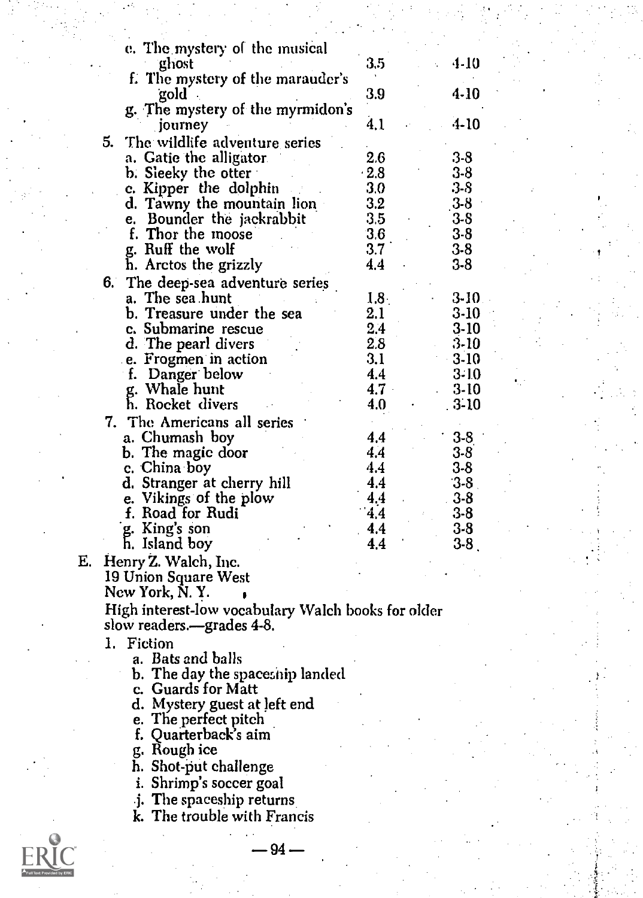|    | e. The mystery of the musical<br>ghost             | 3.5              | 4-10           |
|----|----------------------------------------------------|------------------|----------------|
|    | f. The mystery of the marauder's                   |                  |                |
|    | gold .                                             | 3.9              | 4-10           |
|    | g. The mystery of the myrmidon's                   | 4.1              | $-4-10$        |
|    | journey<br>5.<br>The wildlife adventure series     |                  |                |
|    | a. Gatie the alligator.                            | 2.6              | $3-8$          |
|    | b. Sleeky the otter                                | $\cdot 2.8$      | $3 - 8$        |
|    | c. Kipper the dolphin                              | 3.0              | $3-8$          |
|    | d. Tawny the mountain lion                         | 3.2              | $3-8$          |
|    | e. Bounder the jackrabbit<br>f. Thor the moose     | 3.5<br>3,6       | $3-8$<br>$3-8$ |
|    | g. Ruff the wolf                                   | 3.7              | $3 - 8$        |
|    | h. Arctos the grizzly                              | 4.4              | 3-8            |
|    | The deep-sea adventure series<br>6.                |                  |                |
|    | a. The sea hunt                                    | 1.8 <sub>1</sub> | 3-10           |
|    | b. Treasure under the sea                          | 2.1              | $3-10$         |
|    | c. Submarine rescue                                | 2.4              | $3-10$         |
|    | d. The pearl divers<br>e. Frogmen in action        | 2.8<br>3.1       | 3-10<br>$3-10$ |
|    | f. Danger below                                    | 4.4              | $3-10$         |
|    | g. Whale hunt                                      | 4.7              | $3-10$         |
|    | h. Rocket divers                                   | 4.0              | $.3 - 10$      |
|    | 7. The Americans all series                        |                  |                |
|    | a. Chumash boy                                     | 4.4              | $3-8$          |
|    | b. The magic door<br>c. China boy                  | 4.4<br>4.4       | $3-8$<br>$3-8$ |
|    | d. Stranger at cherry hill                         | 4.4              | $3-8$          |
|    | e. Vikings of the plow                             | 4.4              | $3-8$          |
|    | f. Road for Rudi                                   | 4.4              | 3-8            |
|    | g. King's son                                      | 4.4              | 3-8            |
|    | h. Island boy                                      | 4.4              | $3-8$          |
| Е. | Henry Z. Walch, Inc.<br>19 Union Square West       |                  |                |
|    | New York, N.Y.                                     |                  |                |
|    | High interest-low vocabulary Walch books for older |                  |                |
|    | slow readers.—grades 4-8.                          |                  |                |
|    | 1. Fiction                                         |                  |                |
|    | a. Bats and balls                                  |                  |                |
|    | b. The day the spaceship landed                    |                  |                |
|    | c. Guards for Matt<br>d. Mystery guest at left end |                  |                |
|    | e. The perfect pitch                               |                  |                |
|    | f. Quarterback's aim                               |                  |                |
|    | g. Rough ice                                       |                  |                |
|    | h. Shot-put challenge                              |                  |                |
|    | i. Shrimp's soccer goal                            |                  |                |
|    | j. The spaceship returns                           |                  |                |
|    | k. The trouble with Francis                        |                  |                |
|    | 94.                                                |                  |                |
|    |                                                    |                  |                |

 $ER<sub>full</sub>$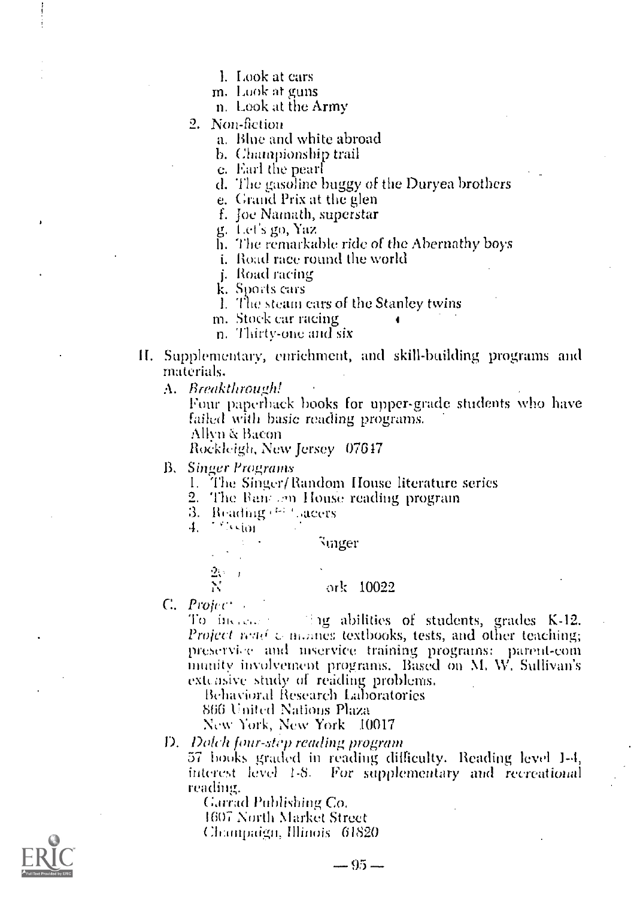- L Look at cars
- m. Look at guns
- n. Look at the Army
- 2. Non-fiction
	- a. Blue and white abroad
	- b. Championship trail

c. Earl the pearl

d. The gasoline buggy of the Duryea brothers

e. Grand Prix at the glen

f. Joe Namath, superstar

g. Let's go, Yaz

- h. The remarkable ride of the Abernathy boys
- *i.* Road race round the world
- j. Road racing

k. Sports cars

- 1. The steam cars of the Stanley twins
- m. Stock car racing
- n. Thirty-one and six
- II. Supplementary, enrichment, and skill-building programs and materials.
	- A. Breakthrough!

Four paperback books for upper-grade students who have failed with basic reading programs.

Allyn & Bacon

Rockleigh, New Jersey 07647

**B.** Singer Programs

- 1. The Singer/Random House literature series
- 2. The Bancom House reading program
- 3. Reading (3) Lacers

4. Weston

Sunger

ork 10022

 $C.$  *Project* 

To increase the single abilities of students, grades K-12. Project wad & mones textbooks, tests, and other teaching; preservice and inservice training programs: parent-com munity involvement programs. Based on M, W, Sullivan's extensive study of reading problems.

Behavioral Research Laboratories

866 United Nations Plaza

New York, New York 10017

D. Dolch four-step reading program

57 books graded in reading difficulty. Reading level 1-4, interest level 1-8. For supplementary and recreational reading.

Garrad Publishing Co.

1607 North Market Street

Champaign, Illinois 61820

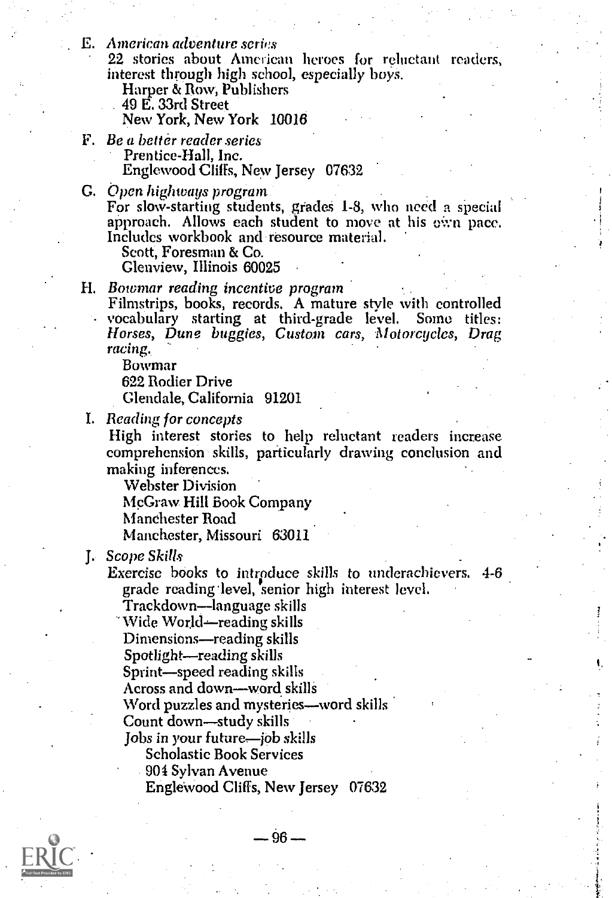E. American adventure series

22 stories about American heroes for reluctant readers, interest through high school, especially boys.

Harper & Row; Publishers

. 49 E. 33rd Street

New York, New York 10016

- F. Be a better reader series Prentice-Hall, Inc. Englewood Cliffs, New Jersey 07632
- G. Open highways program

For slow-starting students, grades 1-8, who need a special approach. Allows each student to move at his oWn pace. Includes workbook and resource material.

Scott, Foresman & Co.

Glenview, Illinois 60025

H. Bowmar reading incentive program

Filmstrips, books, records. A mature style with controlled vocabulary starting at third-grade level. Some titles: Horses, Dune buggies, Custom cars, Motorcycles, Drag racing..

Bowmar

622 Rodier Drive

Glendale, California 91201

I. Beading for concepts

High interest stories to help reluctant readers increase comprehension skills, particularly drawing conclusion and making inferences.

Webster Division

McGraw. Hill Book Company

Manchester Road

Manchester, Missouri 63011

Scope Skills J.

Exercise books to introduce skills to underachievers. 4-6 grade reading level, senior high interest level.

Trackdown—language skills

"Wide World—reading skills

Dimensions—reading skills

Spotlight—reading skills

Sprint-speed reading skills

Across and down--word skills

Word puzzles and mysteries—word skills

Count down—study skills

Jobs in your future—job skills

Scholastic Book Services

904 Sylvan Avenue

Englewood Cliffs, New Jersey 07632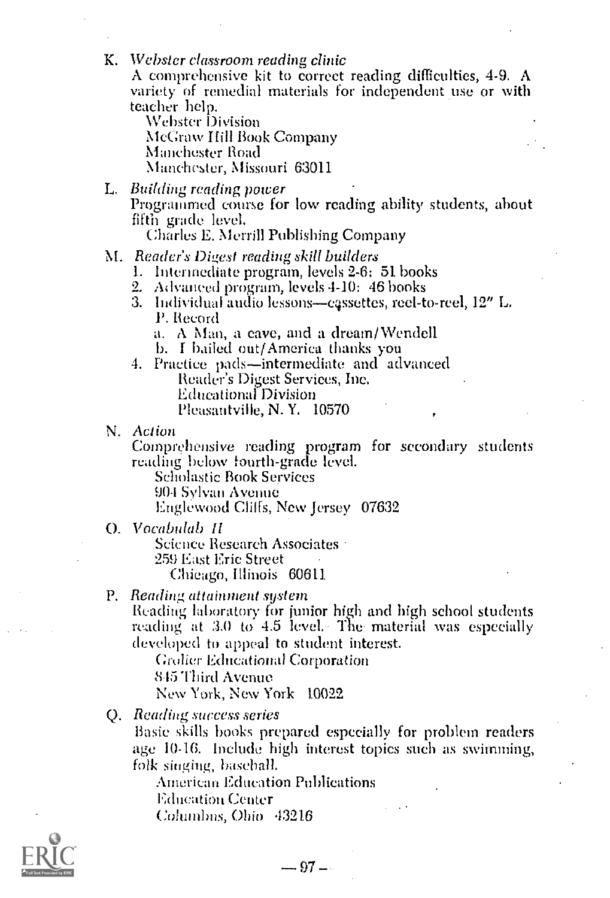- K. Webster classroom reading clinic A comprehensive kit to correct reading difficulties, 4-9. A variety of remedial materials for independent use or with teacher help. Webster Division McCraw hill Book Company Manchester Road Manchester, Missouri 63011
- L. Building reading power Programmed course for low reading ability students, about fifth grade level. Charles E. Merrill Publishing Company
	-
- M. Reader's Digest reading skill builders
	- 1. Intermediate program, levels 2-6: 51 books
	- 2. Advanced program, levels  $4-10:46$  books
	- 3. Individual audio lessons—cassettes, reel-to-reel, 12" L. P. Record
		- a. A Nfan, a cave, and a dream/Wendell
		- b. I bailed out/America thanks you
	- 4. Practice pads-intermediate and advanced Reader's Digest Services, Inc. Educational Division Pleasantville, N. Y. 10570
- N. Action

Comprehensive reading program for secondary students reading below fourth-grade level.

Scholastic Book Services 90-I Sylvan Avenue Englewood Cliffs, New Jersey 07632

0. Vocabulab II

Science Research Associates 259 East Eric Street Chicago, Illinois 60611

#### P. Reading attainment system

Reading laboratory for junior high and high school students reading at 3.0 to 4.5 level. The material was especially developed to appeal to student interest.

Grolier Educational Corporation 845 'Filial Avenue New York, New York 10022

Reading success series Q.

Basic skills books prepared especially for problem readers age 10-16. Include high interest topics such as swimming, folk singing, baseball.

American Education Publications Education Center Columbus, Ohio 43216